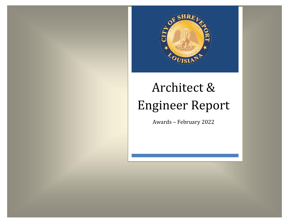

#### Architect & Engineer Report Architect & Engineer Report  $\epsilon$ Engineer

Awards – February 2022 Contracts – June 2020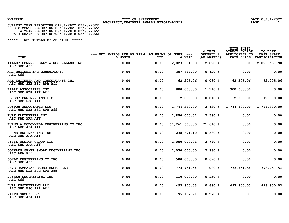## NWAERP01 CITY OF SHREVEPORT<br>architect/engineer awards report-logos and the page: 1<br>PAGE: 1

| CURRENT YEAR REPORTING: 01/01/2022 02/28/2022                                                                                     |  |
|-----------------------------------------------------------------------------------------------------------------------------------|--|
| SIX MONTH REPORTING:08/01/2021 02/28/2022<br>4 YEAR REPORTING:02/01/2018 02/28/2022<br>FAIR SHARE REPORTING:02/01/2018 02/28/2022 |  |
|                                                                                                                                   |  |
|                                                                                                                                   |  |

| <b>FIRM</b>                                                 | $---$ NET AWARDS PER AE FIRM (AS PRIME OR SUBS) $---$<br>6-MONTH | YTD  | 4 YEAR          | 4 YEAR<br><b>OVERALL %</b><br>(AE AWARDS) | (WITH SUBS)<br>DIRECT AWARDS<br>APPLICABLE TO<br><b>FAIR SHARE</b> | TO DATE<br><b>FAIR SHARE</b><br>PARTICIPATION |
|-------------------------------------------------------------|------------------------------------------------------------------|------|-----------------|-------------------------------------------|--------------------------------------------------------------------|-----------------------------------------------|
| AILLET FENNER JOLLY & MCCLELLAND INC<br>AEC SBE Aff         | 0.00                                                             | 0.00 | 2,023,631.90    | 2.820%                                    | 0.00                                                               | 2,023,631.90                                  |
| ARE ENGINEERING CONSULTANTS<br>AEC Aff                      | 0.00                                                             | 0.00 | 307, 614.00     | 0.420%                                    | 0.00                                                               | 0.00                                          |
| ARK ENGINEER AND CONSULTANTS INC<br>AEC MBE SBE FSC APA Aff | 0.00                                                             | 0.00 | 62,205.06       | 0.080%                                    | 62,205.06                                                          | 62,205.06                                     |
| <b>BALAR ASSOCIATES INC</b><br>AEC SBE APA Aff Aff          | 0.00                                                             | 0.00 | 800,000.00      | $1.110*$                                  | 300,000.00                                                         | 0.00                                          |
| <b>BLUDOT ENGINEERING LLC</b><br>AEC SBE FSC Aff            | 0.00                                                             | 0.00 | 12,000.00       | $0.010$ %                                 | 12,000.00                                                          | 12,000.00                                     |
| BONTON ASSOCIATES LLC<br>AEC MBE SBE FSC APA Aff            | 0.00                                                             | 0.00 | 1,744,380.00    | $2.430*$                                  | 1,744,380.00                                                       | 1,744,380.00                                  |
| BURK KLEINPETER INC<br>AEC SBE APA Aff                      | 0.00                                                             | 0.00 | 1,850,000.02    | 2.580%                                    | 0.02                                                               | 0.00                                          |
| BURNS & MCDONNELL ENGINEERING CO INC<br>AEC LBE APA Aff     | 0.00                                                             | 0.00 | 51, 261, 600.00 | 71.610 %                                  | 0.00                                                               | 0.00                                          |
| BURNS ENGINEERING INC<br>AEC SBE APA Aff                    | 0.00                                                             | 0.00 | 238,691.10      | 0.330%                                    | 0.00                                                               | 0.00                                          |
| CIVIL DESIGN GROUP LLC<br>AEC SBE APA Aff                   | 0.00                                                             | 0.00 | 2,000,000.01    | 2.790%                                    | 0.01                                                               | 0.00                                          |
| COTHREN GRAFF SMOAK ENGINEERING INC<br>AEC APA Aff          | 0.00                                                             | 0.00 | 2,030,000.00    | 2.830%                                    | 0.00                                                               | 0.00                                          |
| COYLE ENGINEERING CO INC<br>AEC SBE Aff                     | 0.00                                                             | 0.00 | 500,000.00      | 0.690%                                    | 0.00                                                               | 0.00                                          |
| DAVE RAMBARAN GEOSCIENCES LLC<br>AEC MBE SBE FSC APA Aff    | 0.00                                                             | 0.00 | 773, 751.54     | 1.080%                                    | 773, 751.54                                                        | 773, 751.54                                   |
| DUNHAM ENGINEERING INC<br>AEC Aff                           | 0.00                                                             | 0.00 | 110,000.00      | 0.150%                                    | 0.00                                                               | 0.00                                          |
| DURR ENGINEERING LLC<br>AEC SBE FSC APA Aff                 | 0.00                                                             | 0.00 | 493,800.03      | 0.680%                                    | 493,800.03                                                         | 493,800.03                                    |
| <b>FAITH GROUP LLC</b><br>AEC SBE APA Aff                   | 0.00                                                             | 0.00 | 195, 167. 71    | $0.270$ %                                 | 0.01                                                               | 0.00                                          |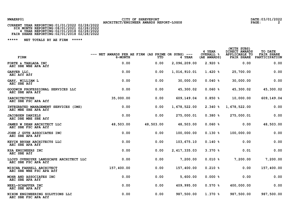# NWAERP01 CITY OF SHREVEPORT<br>2 **CURRENT YEAR REPORTING:01/01/2022 02/28/2022** ARCHITECT/ENGINEER AWARDS REPORT-LOGOS

| CURRENT YEAR REPORTING:01/01/2022 02/28/2022 |  |
|----------------------------------------------|--|
| SIX MONTH REPORTING: 08/01/2021 02/28/2022   |  |
| 4 YEAR REPORTING: 02/01/2018 02/28/2022      |  |
| FAIR SHARE REPORTING: 02/01/2018 02/28/2022  |  |

| FIRM                                                           | $---$ NET AWARDS PER AE FIRM (AS PRIME OR SUBS) $---$<br>6-MONTH | YTD       | 4 YEAR         | 4 YEAR<br><b>OVERALL %</b><br>(AE AWARDS) | (WITH SUBS)<br>DIRECT AWARDS<br>APPLICABLE TO<br><b>FAIR SHARE</b> | TO DATE<br><b>FAIR SHARE</b><br>PARTICIPATION |
|----------------------------------------------------------------|------------------------------------------------------------------|-----------|----------------|-------------------------------------------|--------------------------------------------------------------------|-----------------------------------------------|
| FORTE & TABLADA INC<br>AEC SBE WBE APA Aff                     | 0.00                                                             | 0.00      | 2,096,209.00   | 2.920%                                    | 0.00                                                               | 0.00                                          |
| GARVER LLC,<br>AEC Aff Aff                                     | 0.00                                                             | 0.00      | 1,016,910.01   | 1.420%                                    | 25,700.00                                                          | 0.00                                          |
| GARY, WILLIAM L<br>AEC SBE Aff                                 | 0.00                                                             | 0.00      | 30,000.00      | $0.040$ %                                 | 30,000.00                                                          | 0.00                                          |
| GOODWIN PROFESSIONAL SERVICES LLC<br>AEC SBE APA Aff           | 0.00                                                             | 0.00      | 45,300.02      | $0.060$ %                                 | 45,300.02                                                          | 45,300.02                                     |
| <b>IARCHITECTURE</b><br>AEC SBE FSC APA Aff                    | 35,000.00                                                        | 0.00      | 609,149.04     | 0.850%                                    | 10,000.00                                                          | 609,149.04                                    |
| INTEGRATED MANAGEMENT SERVICES<br>(IMS)<br>AEC MBE SBE APA Aff | 0.00                                                             | 0.00      | 1,678,522.00   | 2.340%                                    | 1,678,522.00                                                       | 0.00                                          |
| <b>JACOBSEN DANIELS</b><br>AEC DBE MBE SBE Aff                 | 0.00                                                             | 0.00      | 275,000.01     | 0.380%                                    | 275,000.01                                                         | 0.00                                          |
| JAMES W DEAN ARCHITECT LLC<br>AEC SBE FSC APA Aff              | 48,503.00                                                        | 48,503.00 | 48,503.00      | $0.060$ %                                 | 0.00                                                               | 48,503.00                                     |
| JOHN J GUTH ASSOCIATES INC<br>AEC SBE APA Aff                  | 0.00                                                             | 0.00      | 100,000.00     | $0.130*$                                  | 100,000.00                                                         | 0.00                                          |
| KEVIN BRYAN ARCHITECTS LLC<br>AEC SBE APA Aff                  | 0.00                                                             | 0.00      | 103,675.10     | 0.140%                                    | 0.00                                                               | 0.00                                          |
| KSA ENGINEERS INC<br>AEC SBE Aff                               | 0.00                                                             | 0.00      | 2, 417, 335.03 | $3.370*$                                  | 0.01                                                               | 0.00                                          |
| LLOYD OVERDYKE LANDSCAPE ARCHITECT LLC<br>AEC SBE FSC APA Aff  | 0.00                                                             | 0.00      | 7,200.00       | $0.010$ %                                 | 7,200.00                                                           | 7,200.00                                      |
| MISCHA FARRELL ARCHITECT<br>AEC SBE WBE FSC APA Aff            | 157,400.00                                                       | 0.00      | 157,400.00     | $0.210$ %                                 | 0.00                                                               | 157,400.00                                    |
| MOHR AND ASSOCIATES INC<br>AEC SBE APA Aff                     | 0.00                                                             | 0.00      | 5,600.00       | $0.000$ %                                 | 0.00                                                               | 0.00                                          |
| NEEL-SCHAFFER INC<br>AEC SBE APA Aff                           | 0.00                                                             | 0.00      | 409,995.00     | 0.570%                                    | 400,000.00                                                         | 0.00                                          |
| NIXON ENGINEERING SOLUTIONS LLC<br>AEC SBE FSC APA Aff         | 0.00                                                             | 0.00      | 987,500.00     | 1.370%                                    | 987,500.00                                                         | 987,500.00                                    |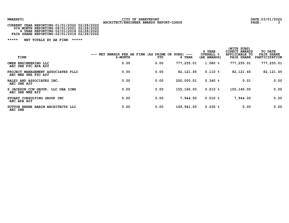# NWAERP01 CITY OF SHREVEPORT<br>CURRENT YEAR REPORTING:01/01/2022 02/28/2022 ARCHITECT/ENGINEER AWARDS REPORT-LOGOS PAGE: 3<br>CURRENT YEAR REPORTING:01/01/2022 02/28/2022

| CURRENT YEAR REPORTING:01/01/2022 02/28/2022 |  |
|----------------------------------------------|--|
| SIX MONTH REPORTING: 08/01/2021 02/28/2022   |  |
| 4 YEAR REPORTING: 02/01/2018 02/28/2022      |  |
| FAIR SHARE REPORTING: 02/01/2018 02/28/2022  |  |

| FIRM                                                          | NET AWARDS PER AE FIRM (AS PRIME OR<br>$---$<br>6-MONTH | YTD  | SUBS)<br>$---$<br>4 YEAR | 4 YEAR<br><b>OVERALL %</b><br>(AE AWARDS) | (WITH SUBS)<br>DIRECT AWARDS<br>APPLICABLE TO<br><b>FAIR SHARE</b> | TO DATE<br><b>FAIR SHARE</b><br>PARTICIPATION |
|---------------------------------------------------------------|---------------------------------------------------------|------|--------------------------|-------------------------------------------|--------------------------------------------------------------------|-----------------------------------------------|
| OWEN ENGINEERING LLC<br>AEC SBE FSC APA Aff                   | 0.00                                                    | 0.00 | 777,255.01               | 1.080%                                    | 777,255.01                                                         | 777,255.01                                    |
| PROJECT MANAGEMENT ASSOCIATES PLLC<br>AEC MBE SBE FSC Aff     | 0.00                                                    | 0.00 | 82, 121.45               | 0.110%                                    | 82, 121.45                                                         | 82, 121.45                                    |
| RALEY AND ASSOCIATES INC,<br>AEC SBE Aff                      | 0.00                                                    | 0.00 | 250,000.01               | 0.340%                                    | 0.01                                                               | 0.00                                          |
| S JACKSON CCM GROUP,<br>LLC DBA ICMS<br>AEC SBE WBE Aff       | 0.00                                                    | 0.00 | 155,160.00               | $0.210$ %                                 | 155,160.00                                                         | 0.00                                          |
| STUART CONSULTING GROUP INC<br>AEC APA Aff                    | 0.00                                                    | 0.00 | 7,944.00                 | 0.010%                                    | 7,944.00                                                           | 0.00                                          |
| <b>BABIN ARCHITECTS LLC</b><br><b>SUTTON BEEBE</b><br>AEC SBE | 0.00                                                    | 0.00 | 169,941.00               | 0.230%                                    | 0.00                                                               | 0.00                                          |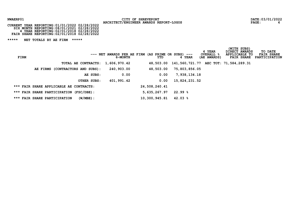# NWAERP01 CITY OF SHREVEPORT<br>2022 **ARCHITECT/ENGINEER AWARDS REPORT-LOGOS** PAGE: PAGE: 4<br>24 CURRENT YEAR REPORTING:01/01/2022 02/28/2022

| CURRENT YEAR REPORTING: 01/01/2022 02/28/2022 |  |
|-----------------------------------------------|--|
| SIX MONTH REPORTING: 08/01/2021 02/28/2022    |  |
| 4 YEAR REPORTING: 02/01/2018 02/28/2022       |  |
| FAIR SHARE REPORTING: 02/01/2018 02/28/2022   |  |

| FIRM |                                             | $---$ NET AWARDS PER AE FIRM (AS PRIME OR SUBS) $---$<br>6-MONTH | YTD           | 4 YEAR                                      | 4 YEAR<br><b>OVERALL &amp;</b><br>(AE AWARDS) | (WITH SUBS)<br>DIRECT AWARDS<br>APPLICABLE TO<br><b>FAIR SHARE</b> | TO DATE<br><b>FAIR SHARE</b><br>PARTICIPATION |
|------|---------------------------------------------|------------------------------------------------------------------|---------------|---------------------------------------------|-----------------------------------------------|--------------------------------------------------------------------|-----------------------------------------------|
|      |                                             | TOTAL AE CONTRACTS: 1,606,970.42                                 | 48,503.00     | 141, 560, 721. 77 AEC TOT: 71, 584, 289. 31 |                                               |                                                                    |                                               |
|      | (CONTRACTORS AND SUBS):<br>AE FIRMS         | 240,903.00                                                       | 48,503.00     | 75,803,856.05                               |                                               |                                                                    |                                               |
|      |                                             | 0.00<br>AE SUBS:                                                 | 0.00          | 7,938,134.18                                |                                               |                                                                    |                                               |
|      | OTHER SUBS:                                 | 401,991.42                                                       | 0.00          | 15,824,231.52                               |                                               |                                                                    |                                               |
|      | *** FAIR SHARE APPLICABLE AE CONTRACTS:     |                                                                  | 24,508,240.41 |                                             |                                               |                                                                    |                                               |
|      | *** FAIR SHARE PARTICIPATION (FSC/DBE):     |                                                                  | 5,635,267.97  | 22.99%                                      |                                               |                                                                    |                                               |
|      | $(W/MBE)$ :<br>*** FAIR SHARE PARTICIPATION |                                                                  | 10,300,945.81 | 42.03%                                      |                                               |                                                                    |                                               |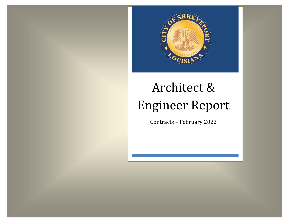

#### Architect & Engineer Report Architect & Engineer Report  $\epsilon$ Engineer Engineer Repo

Contracts - February 2022 Contracts – June 2020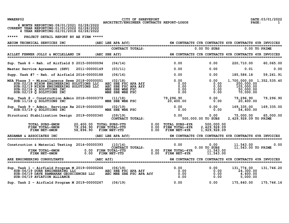NWAERP02 CITY OF SHREVEPORT<br>2022 ARCHITECT/ENGINEER CONTRACTS REPORT-LOGOS PAGE: 1<br>21 ARCHITECT/ENGINEER CONTRACTS REPORT-LOGOS

| CURRENT YEAR REPORTING: 01/01/2022 02/28/2022 |  |
|-----------------------------------------------|--|
|                                               |  |
| 4 YEAR REPORTING: 02/01/2018 02/28/2022       |  |

| AECOM TECHNICAL SERVICES INC                                                                                                                                                                                                                                                                                          |                                                      | (AEC LBE APA Aff) |                               | 6M CONTRACTS CYR CONTRACTS 4YR CONTRACTS 4YR INVOICES                                                                                                                              |                                                                 |                                                                                 |            |
|-----------------------------------------------------------------------------------------------------------------------------------------------------------------------------------------------------------------------------------------------------------------------------------------------------------------------|------------------------------------------------------|-------------------|-------------------------------|------------------------------------------------------------------------------------------------------------------------------------------------------------------------------------|-----------------------------------------------------------------|---------------------------------------------------------------------------------|------------|
|                                                                                                                                                                                                                                                                                                                       |                                                      |                   | <b>CONTRACT TOTALS:</b>       |                                                                                                                                                                                    | $0.00$ TO SUBS                                                  | $0.00$ TO PRIME                                                                 |            |
| AILLET FENNER JOLLY & MCCLELLAND IN (AEC SBE Aff) 60 CONTRACTS CYR CONTRACTS 4YR CONTRACTS 4YR THYOICES                                                                                                                                                                                                               |                                                      |                   |                               |                                                                                                                                                                                    |                                                                 |                                                                                 |            |
| Sup. Task 6 - Reh. of Airfield D 2015-00000094                                                                                                                                                                                                                                                                        |                                                      | (04/14)           |                               | 0.00                                                                                                                                                                               | 0.00                                                            | 220,710.00                                                                      | 60,065.00  |
| Master Service Agreement (SHV) 2011-00000149                                                                                                                                                                                                                                                                          |                                                      | (03/11)           |                               | 0.00                                                                                                                                                                               | 0.00                                                            | 0.01                                                                            | 0.00       |
| Supp. Task #7 - Reh. of Airfield $2016 - 00000188$                                                                                                                                                                                                                                                                    |                                                      | (06/16)           |                               | 0.00                                                                                                                                                                               |                                                                 | $0.00$ 185,586.18                                                               | 59,261.91  |
| A Phase 3 - Miscellaneous Sewe 2018-00000051 (02/18)<br>SUB:02/18 NIXON ENGINEERING SOLUTIONS LLC AEC SBE FSC APA Aff<br>SUB:02/19 NIXON ENGINEERING SOLUTIONS LLC AEC SBE FSC APA Aff<br>SUB:02/18 Q SOLUTIONS INC MBE SBE WBE FSC<br>SUB<br>MSA Phase 3 - Miscellaneous Sewe 2018-00000051                          |                                                      |                   |                               | 0.00<br>$\begin{matrix}0.00\\0.00\end{matrix}$<br>0.00<br>0.00                                                                                                                     | 0.00<br>0.00<br>0.00<br>0.00<br>0.00                            | 1,700,000.00 1,352,535.40<br>200,000.00<br>105,000.00<br>50,000.00<br>70,000.00 |            |
| Sup. Task 8 - Construction Admin 2018-00000379 (11/18)<br>SUB:11/18 Q SOLUTIONS INC                                                                                                                                                                                                                                   |                                                      |                   |                               | in 2018-00000379 (11/18) 30, 296.90 (11/18) 79, 296.90 (11/18) 79, 296.90 (11/18) 79, 296.90 (11/18) 79, 296.90<br>20, 400.00 (10, 400.00 (10, 400.00 (10, 400.00 (10, 400.00 (10) |                                                                 |                                                                                 | 79,296.90  |
| Sup. Task 9 - Admin. Services Re 2019-00000050 (02/19)<br>SUB:03/19 Q SOLUTIONS INC MBE SBE WBE FSC 0.00 0.00 0.00 54,600.00                                                                                                                                                                                          |                                                      |                   |                               |                                                                                                                                                                                    |                                                                 |                                                                                 | 169,335.00 |
| Structural Stabilization Design 2019-00000340 (09/19)                                                                                                                                                                                                                                                                 |                                                      |                   | $(09/19)$<br>CONTRACT TOTALS: | 0.00                                                                                                                                                                               | $0.00$ $75,000.00$ $65,000.00$<br>$500,000.00$ TO $s\bar{u}$ BS | 2, 429, 928.09 TO PRIME                                                         |            |
| TOTAL SUBS-6MON<br>TOTAL SUBS-6MON<br>FIRM TOTAL-6MON<br>FIRM NET-6MON<br>FIRM TOTAL-6MON                                                                                                                                                                                                                             | 20,400.00 TOTAL SUBS-YTD<br>79,296.90 FIRM TOTAL-YTD |                   |                               |                                                                                                                                                                                    | 500,000.00<br>2,429,928.09<br>$\overline{1}$ , 929, 928.09      |                                                                                 |            |
| ARDAMAN & ASSOCIATES INC<br>======================================                                                                                                                                                                                                                                                    |                                                      |                   |                               | (AEC LBE APA Aff) 6M CONTRACTS CYR CONTRACTS 4YR CONTRACTS 4YR INVOICES) (AEC LBE APA Aff)                                                                                         |                                                                 |                                                                                 |            |
| ion & Material Testing 2014-00000393 (10/14) $\begin{array}{c} 0.00 \ 0.00 \ 0.00 \ 0.00 \ 0.00 \ 0.00 \ 0.00 \ 0.00 \ 0.00 \ 0.00 \ 0.00 \ 0.00 \ 0.00 \ 0.00 \ 0.00 \ 0.00 \ 0.00 \ 0.00 \ 0.00 \ 0.00 \ 0.00 \ 0.00 \ 0.00 \ 0.00 \ 0.00 \ 0.00 \ 0.00 \ 0.00 \ $<br>Construction & Material Testing 2014-00000393 |                                                      |                   |                               |                                                                                                                                                                                    | $0.00$ $0.00$ $11,543.00$ $0.00$ $0.00$ $11,543.00$ TO PRIME    |                                                                                 |            |
| ARE ENGINEERING CONSULTANTS                                                                                                                                                                                                                                                                                           | (AEC Aff)                                            |                   |                               |                                                                                                                                                                                    |                                                                 |                                                                                 |            |
| ======================================<br>Sup. Task 1 - Airfield Program M 2019-00000266 (06/19)                                                                                                                                                                                                                      |                                                      |                   |                               |                                                                                                                                                                                    |                                                                 | 131,774.00                                                                      | 131,746.20 |
| Sup. Task 2 - Airfield Program M 2019-00000267                                                                                                                                                                                                                                                                        |                                                      | (06/19)           |                               | 0.00                                                                                                                                                                               | 0.00                                                            | 175,840.00                                                                      | 175,746.16 |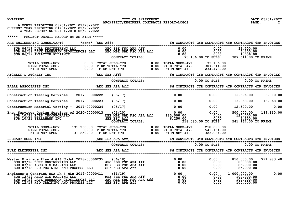| NWAERP02 |  |
|----------|--|
|----------|--|

CITY OF SHREVEPORT CITY OF SHREVEPORT **DATE:03/01/2022** DATE:03/01/2022

| 6 MONTH REPORTING: 08/01/2021 02/28/2022<br>CURRENT YEAR REPORTING: 01/01/2022 02/28/2022<br>4 YEAR REPORTING: 02/01/2018 02/28/2022                                                                                                                                                                                                                                                                                                                    |                                                                                                                                              |                                                       |                |                                                                                                  |            |
|---------------------------------------------------------------------------------------------------------------------------------------------------------------------------------------------------------------------------------------------------------------------------------------------------------------------------------------------------------------------------------------------------------------------------------------------------------|----------------------------------------------------------------------------------------------------------------------------------------------|-------------------------------------------------------|----------------|--------------------------------------------------------------------------------------------------|------------|
| *****<br>PROJECT DETAIL REPORT BY AE FIRM *****                                                                                                                                                                                                                                                                                                                                                                                                         |                                                                                                                                              |                                                       |                |                                                                                                  |            |
|                                                                                                                                                                                                                                                                                                                                                                                                                                                         |                                                                                                                                              |                                                       |                |                                                                                                  |            |
| SUB:06/19 DURR ENGINEERING LLC<br>SUB:06/19 DURR ENGINEERING LLC<br>SUB:06/19 DAVE RAMBARAN GEOSCIENCES LLC<br>SUB:06/19 AVIATION ALLIANCE<br>SUB:06/19 AVIATION ALLIANCE<br>SUB:06/19 AVIATION ALLIANCE<br>CONTRACT TOTALS:<br>CONTRACT TOT                                                                                                                                                                                                            |                                                                                                                                              |                                                       |                |                                                                                                  |            |
| CONTRACT TOTALS:<br>TOTAL SUBS-6MON 0.00 TOTAL SUBS-YTD 0.00 TOTAL SUBS-4YR 73,136.00 TO<br>FIRM TOTAL-6MON 0.00 FIRM TOTAL-YTD 0.00 FIRM TOTAL-4YR 307,614.00<br>FIRM NET-6MON 0.00 FIRM NET-YTD 0.00 FIRM NET-4YR 234,478.00                                                                                                                                                                                                                          |                                                                                                                                              |                                                       |                |                                                                                                  |            |
| ATCHLEY & ATCHLEY INC THE TERM (AEC SBE Aff) 60 CONTRACTS CYR CONTRACTS 4YR CONTRACTS 4YR INVOICES                                                                                                                                                                                                                                                                                                                                                      |                                                                                                                                              |                                                       |                |                                                                                                  |            |
|                                                                                                                                                                                                                                                                                                                                                                                                                                                         |                                                                                                                                              |                                                       |                |                                                                                                  |            |
|                                                                                                                                                                                                                                                                                                                                                                                                                                                         |                                                                                                                                              |                                                       |                |                                                                                                  |            |
| Construction Testing Services - 2017-00000222                                                                                                                                                                                                                                                                                                                                                                                                           | (05/17)                                                                                                                                      | 0.00                                                  | 0.00           | 15,596.00 3,000.00                                                                               |            |
| Construction Testing Services - 2017-00000223                                                                                                                                                                                                                                                                                                                                                                                                           | (05/17)                                                                                                                                      | 0.00                                                  | 0.00           | 13,068.00 13,068.00                                                                              |            |
| Construction Material Testing - 2017-00000224                                                                                                                                                                                                                                                                                                                                                                                                           | (05/17)                                                                                                                                      | 0.00                                                  |                | $0.00$ $12,500.00$                                                                               | 0.00       |
| $\begin{array}{ccccccccc} \text{SUB:10/21 EJES INCORPORTED} & & & & & & & & & 0.00 & & & 0.00 \\ \text{SUB:10/21 EJES INCORPORTED} & & & & & & & & & 0.00 & & 0.00 & & 0.00 \\ \text{SUB:10/21 EJES INCORPORTED} & & & & & & & & 0.00 & & 0.00 & & 0.00 \\ \text{SUB:10/21 EJES INCORPORTED} & & & & & & & & 0.00 & & 0.00 & & 0.00 \\ \text{SDE MDE SBE FSC AFE} & & & & & & & & 0.00 & & 0$<br>Eng. Services Design Services of 2020-00000013 (01/20) |                                                                                                                                              |                                                       |                | 500,000.00<br>125,000.00<br>6,250.00<br>541, 164.00 TO PRIME                                     | 189,110.00 |
| TOTAL SUBS-6MON 131,250.00 TOTAL SUBS-YTD 0.00 TOTAL SUBS-4YR 218,080.00<br>FIRM TOTAL-6MON 0.00 FIRM TOTAL-YTD 0.00 FIRM TOTAL-4YR 541,164.00<br>FIRM NET-6MON 131,250.00 FIRM NET-YTD 0.00 FIRM NET-4YR 323,084.00                                                                                                                                                                                                                                    |                                                                                                                                              |                                                       |                |                                                                                                  |            |
| <b>BUCHART HORN INC</b>                                                                                                                                                                                                                                                                                                                                                                                                                                 | (AEC LBE APA Aff)                                                                                                                            | 6M CONTRACTS CYR CONTRACTS 4YR CONTRACTS 4YR INVOICES |                |                                                                                                  |            |
|                                                                                                                                                                                                                                                                                                                                                                                                                                                         | CONTRACT TOTALS:                                                                                                                             |                                                       | $0.00$ TO SUBS | 0.00 TO PRIME                                                                                    |            |
| BURK KLEINPETER INC<br>EINERTER INC SEE APA Aff) 6M CONTRACTS CYR CONTRACTS 4YR CONTRACTS 4YR INVOICES = 50 ABC SEE APA Aff() 60 ABC<br>EINERTERTER EINERTEIT EINER EINER EINER EINER EINER EINER EINER EINER EINER EINER EINER EINE                                                                                                                                                                                                                    |                                                                                                                                              |                                                       |                |                                                                                                  |            |
|                                                                                                                                                                                                                                                                                                                                                                                                                                                         |                                                                                                                                              |                                                       |                | 850,000.00                                                                                       | 791,983.40 |
| Engineer's Contract MSA Ph 4 Mis 2019-00000411 (11/19)<br>SUB:12/19 ABCD GIS MAPPING LLC<br>SUB:12/19 DAVE RAMBARAN GEOSCIENCES LLC<br>SUB:12/19 H2O TRAINING AND PROCESS LLC                                                                                                                                                                                                                                                                           | 19-00000411 (11/19)<br>19-00000411 (11/19) 0.00 0.00 0.00<br>NCES LLC AEC MBE SBE FSC APA Aff 0.00 0.00<br>ESS LLC SBE FSC APA Aff 0.00 0.00 |                                                       |                | 1,000,000.00<br>$\begin{smallmatrix} - & 160,000.00 \ 100,000.00 \ 100,000.00 \end{smallmatrix}$ | 0.00       |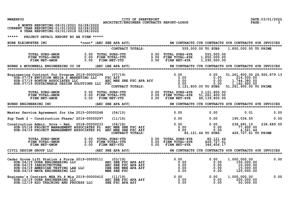| NWAERP02 |  |
|----------|--|
|----------|--|

O2 CITY OF SHREVEPORT<br>ARCHITECT/ENGINEER CONTRACTS REPORT-LOGOS PAGE: 20 /01/2022 ARCHITECT/ENGINEER CONTRACTS REPORT-LOGOS

|       | 6 MONTH REPORTING: 08/01/2021 02/28/2022<br>CURRENT YEAR REPORTING: 01/01/2022 02/28/2022<br>4 YEAR REPORTING: 02/01/2018 02/28/2022                                                                                                                                                                    |                   |                  |                                                                                                                                                                                                                                         |                                                       |                                                                    |                         |
|-------|---------------------------------------------------------------------------------------------------------------------------------------------------------------------------------------------------------------------------------------------------------------------------------------------------------|-------------------|------------------|-----------------------------------------------------------------------------------------------------------------------------------------------------------------------------------------------------------------------------------------|-------------------------------------------------------|--------------------------------------------------------------------|-------------------------|
| ***** | PROJECT DETAIL REPORT BY AE FIRM *****                                                                                                                                                                                                                                                                  |                   |                  |                                                                                                                                                                                                                                         |                                                       |                                                                    |                         |
|       |                                                                                                                                                                                                                                                                                                         |                   |                  |                                                                                                                                                                                                                                         |                                                       |                                                                    |                         |
|       |                                                                                                                                                                                                                                                                                                         |                   | CONTRACT TOTALS: |                                                                                                                                                                                                                                         | 555,000.00 TO SUBS 1,850,000.00 TO PRIME              |                                                                    |                         |
|       |                                                                                                                                                                                                                                                                                                         |                   |                  |                                                                                                                                                                                                                                         |                                                       |                                                                    |                         |
|       | BURNS & MCDONNELL ENGINEERING CO IN (AEC LBE APA Aff) 6M CONTRACTS CYR CONTRACTS 4YR CONTRACTS 4YR INVOICES                                                                                                                                                                                             |                   |                  |                                                                                                                                                                                                                                         |                                                       |                                                                    |                         |
|       | Engineering Contract for Program 2019-00000294<br>$SUB:07/19$ ENVISION MEDIA $\tilde{\mathbf{s}}$ MARKETING LLC FSC Aff<br>SUB: 07/19 BONTON ASSOCIATES LLC<br>SUB: 07/19 SUSTAINABLE DESIGN SOLUTIONS LLC FSC                                                                                          |                   |                  | 0.00 0.00 0.00 0.00 51,261,600.00 26,920,87<br>ETING LLC FSC Aff 0.00 0.00 0.00 214,500.00<br>LUTIONS LLC FSC MBE SBE FSC APA Aff 0.00 0.00 0.00 1,744,380.00<br>LUTIONS LLC FSC CONTRACT TOTALS: 0.00 3,121,800.00 TO SUBS 51,261,600. |                                                       | 51, 261, 600.00 26, 920, 879.13                                    |                         |
|       |                                                                                                                                                                                                                                                                                                         |                   |                  |                                                                                                                                                                                                                                         | 3,121,800.00<br>51,261,600.00<br>48,139,800.00        |                                                                    |                         |
|       | <b>BURNS ENGINEERING INC</b>                                                                                                                                                                                                                                                                            | (AEC SBE APA Aff) |                  |                                                                                                                                                                                                                                         | 6M CONTRACTS CYR CONTRACTS 4YR CONTRACTS 4YR INVOICES |                                                                    |                         |
|       | Master Service Agreement for the 2015-00000248 (04/15)                                                                                                                                                                                                                                                  |                   |                  | 0.00                                                                                                                                                                                                                                    | 0.00                                                  | 0.01                                                               | 0.00                    |
|       | Sup Task 2 - Construction Phase/ 2016-00000297 (11/16)                                                                                                                                                                                                                                                  |                   |                  | $\begin{array}{ccc} & 0.00 & \hspace{1.5cm} & 0.00 \end{array}$                                                                                                                                                                         |                                                       | 190,036.50                                                         | 0.00                    |
|       | 1920)<br>1938,691.10<br>1989,091.10 Momin. Srvs - Reh. 2018-00000233 (04/18) (04/18)<br>1980,00 Momin. Srvs - Reh. 2018-00000233 (04/18)<br>1980,00 Momin. Sub:04/19 PROJECT MANAGEMENT ASSOCIATES PLAEC MBE SBE FSC Aff<br>CONTRACT TOTALS:<br>Construction Admin. Srvs - Reh. 2018-00000233           |                   |                  |                                                                                                                                                                                                                                         |                                                       | 428, 727.61 TO PRIME                                               | 238, 691.10 238, 689.55 |
|       |                                                                                                                                                                                                                                                                                                         |                   |                  |                                                                                                                                                                                                                                         | 82, 121.44<br>428, 727.61<br>346,606.17               |                                                                    |                         |
|       | CIVIL DESIGN GROUP LLC                                                                                                                                                                                                                                                                                  | (AEC SBE APA Aff) |                  |                                                                                                                                                                                                                                         | 6M CONTRACTS CYR CONTRACTS 4YR CONTRACTS 4YR INVOICES |                                                                    |                         |
|       | Cedar Grove Lift Station & Force 2019-00000111 (03/19)<br><b>dar Grove Lift Station &amp; Force 2019-00000111 (03/19)</b> 0.00 0.00 0.00<br>SUB:04/19 DURR ENGINEERING LLC AEC SBE FSC APA Aff 0.00 0.00<br>SUB:04/19 IARCHITECTURE AB LLC DBE SBE WBE APA Aff 0.00<br>SUB:04/19 MAVA ENGINEERING LLC M |                   |                  |                                                                                                                                                                                                                                         | 0.00<br>0.00<br>0.00<br>0.00<br>0.00                  | 1,000,000.00<br>150,000.00<br>10,000.00<br>15,000.00<br>125,000.00 | 0.00                    |
|       |                                                                                                                                                                                                                                                                                                         |                   |                  |                                                                                                                                                                                                                                         |                                                       | 1,000,000.00<br>200,000.00<br>50,000.00                            | 0.00                    |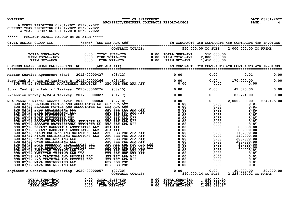| NWAERP02 |
|----------|
|----------|

 **6 MONTH REPORTING:08/01/2021 02/28/2022**

CITY OF SHREVEPORT CITY OF SHREVEPORT **DATE:03/01/2022** DATE:03/01/2022

| CURRENT YEAR REPORTING:01/01/2022 02/28/2022<br>4 YEAR REPORTING:02/01/2018 02/28/2022                                                                                                                                             |  |                                         |  |           |
|------------------------------------------------------------------------------------------------------------------------------------------------------------------------------------------------------------------------------------|--|-----------------------------------------|--|-----------|
| ***** PROJECT DETAIL REPORT BY AE FIRM *****                                                                                                                                                                                       |  |                                         |  |           |
|                                                                                                                                                                                                                                    |  |                                         |  |           |
|                                                                                                                                                                                                                                    |  |                                         |  |           |
|                                                                                                                                                                                                                                    |  |                                         |  |           |
|                                                                                                                                                                                                                                    |  |                                         |  |           |
|                                                                                                                                                                                                                                    |  |                                         |  |           |
| Master Service Agreement (SHV) 2012-00000427 (08/12) 0.00 0.00 0.00 0.00 0.01 0.00<br>Supp Task 2 – Reh of Taxiways B 2015-00000266 (03/15) 0.00 0.00 0.00 0.00 170,000.00 0.00<br>SUB:08/15 INTEGRATED MANAGEMENT SERVICES (AEC M |  |                                         |  |           |
| Supp. Task #3 - Reh. of Taxiway 2015-00000276 (08/15)                                                                                                                                                                              |  | $0.00$ $0.00$ $0.00$ $42,375.00$ $0.00$ |  |           |
| Extension Runway 6/24 & Taxiway 2017-00000027 (01/17)                                                                                                                                                                              |  | $0.00$ $0.00$ $0.83,724.00$ $0.00$      |  |           |
| Extension Runsey 6/24 a Taximum 2017-00000027 (01/11)<br>MSL areas and the statement and a second of the statement of the statement of the statement of the statement of the statement of the statement of the statement of the    |  |                                         |  |           |
| Engineer's Contract-Engineering 2020-00000057 (02/20) contract-Englineering 2020-00000057 (02/20) contract and<br>CONTRACT TOTALS: 0.00 0.00 0.00.14 TO SUBS 2,326,099.01 TO PRIME                                                 |  |                                         |  | 30,000.00 |
|                                                                                                                                                                                                                                    |  |                                         |  |           |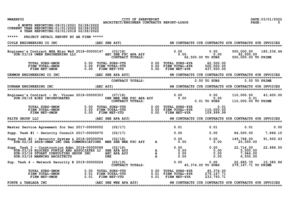| NWAERP02                                                                                                                                                                                                                              | CITY OF SHREVEPORT                                                                                                                                                      |                                                                                                                | DATE: 03/01/2022<br>5                                        |
|---------------------------------------------------------------------------------------------------------------------------------------------------------------------------------------------------------------------------------------|-------------------------------------------------------------------------------------------------------------------------------------------------------------------------|----------------------------------------------------------------------------------------------------------------|--------------------------------------------------------------|
| 6 MONTH REPORTING: 08/01/2021 02/28/2022<br>CURRENT YEAR REPORTING: 01/01/2022 02/28/2022<br>4 YEAR REPORTING: 02/01/2018 02/28/2022                                                                                                  | ARCHITECT/ENGINEER CONTRACTS REPORT-LOGOS                                                                                                                               |                                                                                                                | <b>PAGE:</b>                                                 |
| *****<br>PROJECT DETAIL REPORT BY AE FIRM *****                                                                                                                                                                                       |                                                                                                                                                                         |                                                                                                                |                                                              |
| COYLE ENGINEERING CO INC                                                                                                                                                                                                              | (AEC SBE Aff) 6M CONTRACTS CYR CONTRACTS 4YR CONTRACTS 4YR INVOICES                                                                                                     |                                                                                                                |                                                              |
| ineer's Contract MSA Misc W&S 2018-00000147 (03/18) (031)<br>SUB:03/18 OWEN ENGINEERING LLC AEC SBE FSC APA Aff (0.00 0) (0.00 0) (0.00 0) (0.00 0) (0.00 0) (0.00 0) AEC S<br>Engineer's Contract MSA Misc W&S 2018-00000147 (03/18) |                                                                                                                                                                         | 0.00<br>0.00                                                                                                   | 185,236.46<br>500,000.00<br>62,500.00<br>500,000.00 TO PRIME |
| <b>TOTAL SUBS-6MON</b><br>FIRM TOTAL-6MON<br>FIRM NET-6MON                                                                                                                                                                            | 0.00 TOTAL SUBS-YTD<br>0.00 FIRM TOTAL-YTD<br>0.00 FIRM NET-YTD<br>0.00 FIRM TOTAL-4YR<br>0.00 FIRM NET-4YR                                                             | $0.00$ TOTAL SUBS-4YR<br>62,500.00<br>500,000.00<br>$0.00$ FIRM $NET-4YR$<br>437,500.00                        |                                                              |
| DENMON ENGINEERING CO INC                                                                                                                                                                                                             | (AEC SBE APA Aff)                                                                                                                                                       | 6M CONTRACTS CYR CONTRACTS 4YR CONTRACTS 4YR INVOICES                                                          |                                                              |
|                                                                                                                                                                                                                                       | CONTRACT TOTALS:                                                                                                                                                        | 0.00 TO SUBS                                                                                                   | 0.00 TO PRIME                                                |
| DUNHAM ENGINEERING INC                                                                                                                                                                                                                | (AEC Aff)                                                                                                                                                               | 6M CONTRACTS CYR CONTRACTS 4YR CONTRACTS 4YR INVOICES                                                          |                                                              |
| Engineer's Contract - St. Vincen 2018-00000303 $(07/18)$<br>SUB:08/18 EJES INCORPORATED                                                                                                                                               | DBE MBE SER FSC APA Aff 0.00<br>CONTRACT TOTALS:                                                                                                                        | 0.00<br>$0.00\ 0.00$<br>0.01 TO SUBS                                                                           | 110,000.00<br>43,600.00<br>0.01<br>110,000.00 TO PRIME       |
| TOTAL SUBS-6MON<br>FIRM TOTAL-6MON<br><b>FIRM NET-6MON</b>                                                                                                                                                                            | 0.00 TOTAL SUBS-YTD                 0.00 TOTAL SUBS-4YR<br>0.00 FIRM TOTAL-YTD                0.00 FIRM TOTAL-4YR<br>0.00 FIRM NET-YTD                0.00 FIRM NET-4YR | 0.01<br>110,000.00<br>109,999.99                                                                               |                                                              |
| <b>FAITH GROUP LLC</b>                                                                                                                                                                                                                | (AEC SBE APA Aff)                                                                                                                                                       | 6M CONTRACTS CYR CONTRACTS 4YR CONTRACTS 4YR INVOICES                                                          |                                                              |
| Master Service Agreement for Sec 2017-00000052                                                                                                                                                                                        | (02/17)                                                                                                                                                                 | 0.01<br>0.01                                                                                                   | 0.01<br>0.00                                                 |
| Supp. Task $#1$ - Security Consult 2017-00000070                                                                                                                                                                                      | (02/17)                                                                                                                                                                 | 0.00<br>0.00                                                                                                   | 84,000.00<br>7,866.10                                        |
| Supp Task #2 - Security System & $2018-00000054$<br>SUB:02/18 SHIR-OMAR INC DBA COMMUNICATIONS MBE SBE WBE FSC Aff                                                                                                                    | (02/18)<br>$\mathbf{A}$                                                                                                                                                 | 0.00<br>0.00<br>0.00<br>0.00                                                                                   | 149,768.00<br>91,500.63<br>25,000.00                         |
| Supp. Task $3$ - Construction Admi 2018-00000068<br>SUB:03/18 BLOCKED PURTLE AND ASSOCIATES LC SBE APA Aff<br>SUB: 03/18 STUART CONSULTING GROUP INC<br>SUB: 03/18 MANNING ARCHITECTS                                                 | (02/18)<br>A<br>A<br>A<br>AEC APA Aff<br><b>DBE</b>                                                                                                                     | 0.00<br>0.00<br>0.00<br>0.00<br>0.00<br>0.00<br>0.00<br>0.00                                                   | 22,686.50<br>22,714.00<br>5,500.00<br>7,944.00<br>6,930.00   |
| Sup. Task 4 - Network Security E 2019-00000224                                                                                                                                                                                        | (05/19)<br>CONTRACT TOTALS:                                                                                                                                             | 0.00<br>0.00<br>45,374.00 TO SUBS                                                                              | 15,380.86<br>22,685.70<br>279, 167.71 TO PRIME               |
| 0.00 TOTAL SUBS-YTD<br>0.01 FIRM TOTAL-YTD<br>0.01 FIRM NET-YTD<br>TOTAL SUBS-6MON<br>FIRM TOTAL-6MON<br>FIRM NET-6MON                                                                                                                |                                                                                                                                                                         | 0.00 TOTAL SUBS-4YR<br>45,374.00<br>0.01 FIRM TOTAL-4YR<br>279, 167. 71<br>$0.01$ FIRM NET-4YR<br>233, 793. 71 |                                                              |
| FORTE & TABLADA INC                                                                                                                                                                                                                   | (AEC SBE WBE APA Aff)                                                                                                                                                   | 6M CONTRACTS CYR CONTRACTS 4YR CONTRACTS 4YR INVOICES                                                          |                                                              |
|                                                                                                                                                                                                                                       |                                                                                                                                                                         |                                                                                                                |                                                              |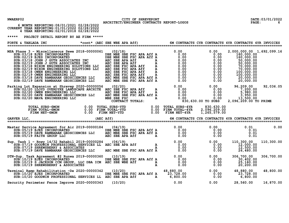| NWAERP02                                                                                                                                                                                                                                                                                           | CITY OF SHREVEPORT                        |  |                                                       | DATE: 03/01/2022 |
|----------------------------------------------------------------------------------------------------------------------------------------------------------------------------------------------------------------------------------------------------------------------------------------------------|-------------------------------------------|--|-------------------------------------------------------|------------------|
| 6 MONTH REPORTING: 08/01/2021 02/28/2022<br>CURRENT YEAR REPORTING: 01/01/2022 02/28/2022<br>4 YEAR REPORTING: 02/01/2018 02/28/2022                                                                                                                                                               | ARCHITECT/ENGINEER CONTRACTS REPORT-LOGOS |  |                                                       | PAGE:<br>-6      |
| *****<br>PROJECT DETAIL REPORT BY AE FIRM *****                                                                                                                                                                                                                                                    |                                           |  |                                                       |                  |
| FORTE & TABLADA INC * cont* (AEC SBE WBE APA Aff) 6M CONTRACTS CYR CONTRACTS 4YR CONTRACTS 4YR INVOICES                                                                                                                                                                                            |                                           |  |                                                       |                  |
| MSA Phase $3$ - Miscellaneous Sewe 2018-00000061 (02/18)                                                                                                                                                                                                                                           |                                           |  | 2,000,000.00 1,692,099.16                             |                  |
| 13,500.00 Expansion at Shrevep 2020-00000056 (02/20)<br>SUB:02/20 LLOYD OVERDYKE LANDSCAPE ARCHITE AEC SBE FSC APA Aff a 0.00 0.00 0.00 0.00 7,200.00<br>SUB:02/20 OWEN ENGINEERING LLC AEC SBE FSC APA Aff a 0.00 0.00 5,980.00<br><br>Parking Lot Expansion at Shrevep 2020-00000056 (02/20)     |                                           |  |                                                       | 92,036.05        |
| TOTAL SUBS-6MON 0.00 TOTAL SUBS-YTD 0.00 TOTAL SUBS-4YR 830,630.00<br>FIRM TOTAL-6MON 0.00 FIRM TOTAL-YTD 0.00 FIRM TOTAL-4YR 2,096,209.00<br>FIRM NET-6MON 0.00 FIRM NET-YTD 0.00 FIRM NET-4YR 1,265,579.00<br>C, 6M CONTRACTS CYR CON                                                            |                                           |  |                                                       |                  |
| GARVER LLC,                                                                                                                                                                                                                                                                                        |                                           |  | 6M CONTRACTS CYR CONTRACTS 4YR CONTRACTS 4YR INVOICES |                  |
| Master Service Agreement for Air 2019-00000184 (04/19) 0.00 0.00 0.00 0.00 0.00 0.01<br>SUB:05/19 EJES INCORPORATED DBE MBE SBE FSC APA Aff A 0.00 0.00 0.00 0.01<br>SUB:05/19 FAITH GROUP LLC AEC MBE SBE FSC APA Aff A 0.00 0.00                                                                 |                                           |  |                                                       | 0.00             |
| Sup. Task 1 – Rnwy 14/32 Rehabil 2019–00000284 (06/19)<br>SUB:07/19 GOODWIN PROFESSIONAL SERVICES LL AEC SBE APA Aff a 0.00 0.00 0.00 12,000.00<br>SUB:07/19 SHREWSBERRY & ASSOCIATES<br>SUB:07/19 DAVE RAMBARAN GEOSCIENCES LLC AEC                                                               |                                           |  |                                                       | 110,300.00       |
| 300.00 10/19<br>SUB:07/19 DAVE RAMBARAN GEOSCIENCES LLC AEC MBE SBE FSC AFA ALL A<br>SUB:10/19 EJES INCORPORATED<br>SUB:10/19 EJES INCORPORATED DER MBE SBE FSC APA Aff A<br>SUB:10/19 SUBES INCORPORATED A<br>SUB:10/19 SUBES INCORPORA<br>DTN-Sup. Task Agreement #2 Runwa 2019-00000360 (10/19) |                                           |  |                                                       | 306,700.00       |
| Terminal Ramp Rehabilitation -De 2020-00000342 (10/20)<br>SUB:10/20 EJES INCORPORATED<br>SUB:10/20 GOODWIN PROFESSIONAL SERVICES LL AEC SBE APA Aff A 23,728.00 0.00 0.00 23,728.00<br>Security Perimeter Fence Improve 2020-000003                                                                |                                           |  |                                                       | 48,800.00        |
|                                                                                                                                                                                                                                                                                                    |                                           |  |                                                       | 16,870.00        |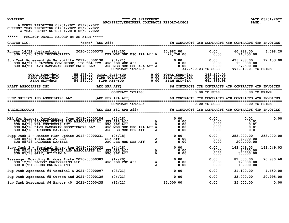| NWAERP02                                                                                                                                                                                                                                                                                       | CITY OF SHREVEPORT<br>ARCHITECT/ENGINEER CONTRACTS REPORT-LOGOS                                                                                                                                                                          |                                                                                                     |                                                                               | DATE: 03/01/2022                                   |
|------------------------------------------------------------------------------------------------------------------------------------------------------------------------------------------------------------------------------------------------------------------------------------------------|------------------------------------------------------------------------------------------------------------------------------------------------------------------------------------------------------------------------------------------|-----------------------------------------------------------------------------------------------------|-------------------------------------------------------------------------------|----------------------------------------------------|
| 6 MONTH REPORTING: 08/01/2021 02/28/2022<br>CURRENT YEAR REPORTING: 01/01/2022 02/28/2022<br>4 YEAR REPORTING: 02/01/2018 02/28/2022                                                                                                                                                           |                                                                                                                                                                                                                                          |                                                                                                     |                                                                               | $\mathbf{PAGE:}$                                   |
| *****<br>PROJECT DETAIL REPORT BY AE FIRM *****                                                                                                                                                                                                                                                |                                                                                                                                                                                                                                          |                                                                                                     |                                                                               |                                                    |
| *cont* (AEC Aff) 6M CONTRACTS CYR CONTRACTS 4YR CONTRACTS 4YR INVOICES<br>GARVER LLC,                                                                                                                                                                                                          |                                                                                                                                                                                                                                          |                                                                                                     |                                                                               |                                                    |
| Runway 14/32 obstructions $2020-00000375$ (12/20) 60,982.00 60,982.00 0.00 0.00<br>SUB:12/20 EJES INCORPORATED DBE MBE SBE FSC APA Aff A 24,750.00 0.00                                                                                                                                        |                                                                                                                                                                                                                                          |                                                                                                     | 0.00                                                                          | 6,098.20<br>60,982.00<br>24,750.00                 |
| 7ask Agreement #6 Rehabilita 2021-00000130 (04/21) 0.00 0.00 0.00 0.00 135,788.00<br>SUB:04/21 S JACKSON CCM GROUP, LLC DBA ICM AEC SBE WBE Aff A 0.00 0.00 0.00 130,000.00<br>SUB:04/21 DAVE RAMBARAN GEOSCIENCES LLC AEC MBE SBE F<br>Sup Task Agreement #6 Rehabilita 2021-00000130 (04/21) |                                                                                                                                                                                                                                          |                                                                                                     |                                                                               | 435,788.00<br>17,433.00<br>991, 210.01 TO PRIME    |
| TOTAL SUBS-6MON             55,278.00   TOTAL SUBS-YTD                  0.00   TOTAL SUBS-4YR          349,520.03<br>FIRM TOTAL-6MON            109,862.00   FIRM TOTAL-YTD                       0.00   FIRM TOTAL-4YR         9                                                              |                                                                                                                                                                                                                                          |                                                                                                     |                                                                               |                                                    |
|                                                                                                                                                                                                                                                                                                |                                                                                                                                                                                                                                          |                                                                                                     |                                                                               |                                                    |
|                                                                                                                                                                                                                                                                                                |                                                                                                                                                                                                                                          |                                                                                                     |                                                                               |                                                    |
|                                                                                                                                                                                                                                                                                                |                                                                                                                                                                                                                                          |                                                                                                     |                                                                               |                                                    |
|                                                                                                                                                                                                                                                                                                |                                                                                                                                                                                                                                          |                                                                                                     |                                                                               |                                                    |
| <b>IARCHITECTURE</b>                                                                                                                                                                                                                                                                           |                                                                                                                                                                                                                                          |                                                                                                     |                                                                               |                                                    |
| MSA for Airport Development Cons 2018-00000186 (03/18)<br>SUB:04/18 BLOCKED PURTLE AND ASSOCIATES LC SBE APA Aff<br>SUB: 04/18 KSA ENGINEERS INC<br>SUB: 04/18 DAVE RAMBARAN GEOSCIENCES LLC<br>SUB: 04/18 JACOBSEN DANIELS                                                                    | 0.00 0.00 0.00 0.00 0.00 0.01<br>SOCIATES LC SBE APA Aff a 0.00 0.00 0.00 0.01<br>AEC SBE Aff A 0.00 0.00 0.01<br>NCES LLC AEC MBE SBE FSC APA Aff A 0.00 0.00 0.01<br>AEC DBE MBE SBE Aff A 0.00 0.00 0.01<br>AEC DBE MBE SBE Aff A 0.0 | 0.00                                                                                                | 0.00                                                                          | 0.00<br>0.01                                       |
| Supp Task $1 -$ Master Plan Update 2018-00000231 (04/18)<br>SUB: 05/18 TRILLION AV LLC<br>SUB: 05/18 JACOBSEN DANIELS                                                                                                                                                                          | te 2018-00000231 (04/18)<br>SBE Aff AEC DBE MBE SBE Aff AEC DBE MBE SBE Aff A                                                                                                                                                            |                                                                                                     |                                                                               | 253,000.00<br>253,000.00<br>4,000.00<br>200,000.00 |
| Supp Task 2 - Terminal Entry Awn 2018-00000232<br>SUB: 05/18 BLOCKED PURTLE AND ASSOCIATES LC SBE APA Aff<br>SUB: 05/18 GARY, WILLIAM L                                                                                                                                                        | $\mathbf{A}$<br>$\mathbf{A}$<br>(04/18)<br>AEC SBE Aff                                                                                                                                                                                   | $\begin{array}{cccc} 0.00 & & & & 0.00 \ 0.00 & & & & 0.00 \ 0.00 & & & & 0.00 \end{array}$<br>0.00 |                                                                               | 163,049.03<br>163,049.03<br>8,000.00<br>30,000.00  |
| Passenger Boarding Bridges Insta 2020-00000389<br>SUB:12/20 BLUDOT ENGINEERING LLC<br>SUB: 01/21 CRUMB ENGINEERING                                                                                                                                                                             | $\mathbf{r} = \frac{1}{2}$<br>(12/20)<br>AEC SBE FSC Aff<br>${\bf A}$<br>$\mathbf{A}$                                                                                                                                                    | 0.00<br>0.00<br>0.00                                                                                | 0.00<br>$\begin{smallmatrix} 0\ 0\ 0\ 0\ 0\ 0\ 0\ 0\ 0\ 0\ \end{smallmatrix}$ | 70,980.60<br>82,000.00<br>12,000.00<br>10,000.00   |
| Sup Task Agreement #4 Terminal A 2021-00000097                                                                                                                                                                                                                                                 | (03/21)                                                                                                                                                                                                                                  | 0.00                                                                                                | 0.00                                                                          | 31, 100.00<br>4,650.00                             |
| Sup Task Agreement #5 Custom and 2021-00000129                                                                                                                                                                                                                                                 | (04/21)                                                                                                                                                                                                                                  | 0.00                                                                                                | 0.00                                                                          | 20,995.00<br>35,000.00                             |
| Sup Task Agreement #6 Hanger 40 2021-00000435                                                                                                                                                                                                                                                  | (12/21)                                                                                                                                                                                                                                  | 35,000.00                                                                                           | 0.00                                                                          | $\overline{0.00}$<br>35,000.00                     |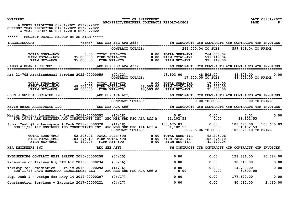|  | NWAERP02 |
|--|----------|
|--|----------|

PO2 CITY OF SHREVEPORT COMPRETED CONTRACTS REPORT DATE:03/01/2022 DATE:03/01/2022<br>B ARCHITECT/ENGINEER CONTRACTS REPORT-LOGOS PAGE: 8

|  | 6 MONTH REPORTING: 08/01/2021 02/28/2022     |  |
|--|----------------------------------------------|--|
|  | CURRENT YEAR REPORTING:01/01/2022 02/28/2022 |  |
|  | 4 YEAR REPORTING: 02/01/2018 02/28/2022      |  |

| <b>IARCHITECTURE</b>                                                                                                           |                   | *cont* (AEC SBE FSC APA Aff)                                                |                  |                                                                                                                              |                                                     | 6M CONTRACTS CYR CONTRACTS 4YR CONTRACTS 4YR INVOICES |                 |
|--------------------------------------------------------------------------------------------------------------------------------|-------------------|-----------------------------------------------------------------------------|------------------|------------------------------------------------------------------------------------------------------------------------------|-----------------------------------------------------|-------------------------------------------------------|-----------------|
|                                                                                                                                |                   | CONTRACT TOTALS:                                                            |                  |                                                                                                                              | 264,000.04 TO SUBS                                  | 599,149.04 TO PRIME                                   |                 |
| TOTAL SUBS-6MON<br>FIRM TOTAL-6MON<br>FIRM NET-6MON                                                                            | 0.00<br>35,000.00 | 35,000.00 FIRM TOTAL-YTD                                                    |                  | TOTAL SUBS-YTD       0.00 TOTAL SUBS-4YR<br>FIRM TOTAL-YTD       0.00 FIRM TOTAL-4YR<br>FIRM NET-YTD       0.00 FIRM NET-4YR | 264,000.04<br>599,149.04<br>335,149.00              |                                                       |                 |
| JAMES W DEAN ARCHITECT LLC<br>============================                                                                     |                   | (AEC SBE FSC APA Aff)                                                       |                  |                                                                                                                              |                                                     | 6M CONTRACTS CYR CONTRACTS 4YR CONTRACTS 4YR INVOICES |                 |
| RFS 21-705 Architectural Service 2022-00000059                                                                                 |                   | (02/22)                                                                     | CONTRACT TOTALS: | 48,503.00                                                                                                                    | 48,503.00<br>17,500.00 TO SUBS                      | 48,503.00<br>48,503.00 TO PRIME                       | 0.00            |
| TOTAL SUBS-6MON<br>FIRM TOTAL-6MON<br>FIRM NET-6MON                                                                            |                   | 0.00 TOTAL SUBS-YTD<br>48,503.00 FIRM TOTAL-YTD<br>$48,503.00$ FIRM NET-YTD |                  | 0.00 TOTAL SUBS-4YR<br>48,503.00 TOTAL SUBS-4IR<br>48,503.00 FIRM TOTAL-4YR<br>$48,503.00$ FIRM NET- $4YR$                   | 17,500.00<br>48,503.00<br>31,003.00                 |                                                       |                 |
|                                                                                                                                |                   |                                                                             |                  |                                                                                                                              |                                                     |                                                       |                 |
|                                                                                                                                |                   |                                                                             | CONTRACT TOTALS: |                                                                                                                              | $0.00$ TO SUBS                                      |                                                       | $0.00$ TO PRIME |
| KEVIN BRYAN ARCHITECTS LLC                                                                                                     |                   |                                                                             |                  |                                                                                                                              |                                                     |                                                       |                 |
| Master Service Agreement - Aeros 2018-00000352 (10/18)<br>SUB:10/18 ARK ENGINEER AND CONSULTANTS INC AEC MBE SBE FSC APA Aff A |                   |                                                                             |                  | $0.01$ $0.00$<br>31,102.53 0.00                                                                                              | 0.00                                                | 0.01<br>31, 102.53                                    | 0.00            |
| Supp. Task #1 - Aerospace & Tech 2018-00000370<br>SUB:11/18 ARK ENGINEER AND CONSULTANTS INC AEC MBE SBE FSC APA Aff A         |                   | (11/18)<br>CONTRACT TOTALS:                                                 |                  | 103,675.09<br>31, 102.53                                                                                                     | 0.00<br>0.00<br>62,205.06 TO SUBS                   | 103, 675.09<br>31, 102.53<br>103,675.10 TO PRIME      | 103,675.09      |
| 101AL SUBS-6MON 62,205.06 TOTAL SUBS-YTD<br>FIRM TOTAL-6MON 103.675.10 FIRM CODENTING<br>FIRM NET-6MON                         |                   | 41,470.04 FIRM NET-YTD                                                      | 0.00             | 0.00 TOTAL SUBS-4YR<br>0.00 FIRM TOTAL-4VP<br>$0.00$ FIRM TOTAL-4YR<br>FIRM NET-4YR                                          | 62,205.06<br>103.675.10<br>103, 675.10<br>41,470.04 |                                                       |                 |
| <b>KSA ENGINEERS INC</b><br>===============================                                                                    |                   | (AEC SBE Aff)                                                               |                  |                                                                                                                              |                                                     | 6M CONTRACTS CYR CONTRACTS 4YR CONTRACTS 4YR INVOICES |                 |
| ENGINEERING CONTRACT WEST SHREVE 2015-00000258                                                                                 |                   | (07/15)                                                                     |                  | 0.00                                                                                                                         | 0.00                                                | 128,886.00                                            | 10,584.00       |
| Extension of Taxiway N @ DTN Air 2016-00000234                                                                                 |                   | (08/16)                                                                     |                  | 0.00                                                                                                                         | 0.00                                                | 70,645.00                                             | 0.00            |
| Taxiway "A" Remediation - Prelim 2016-00000292<br>SUB:11/16 DAVE RAMBARAN GEOSCIENCES LLC                                      |                   | (11/16)<br>AEC MBE SBE FSC APA Aff A                                        |                  | 0.00<br>0.00                                                                                                                 | 0.00<br>0.00                                        | 14,780.00<br>5,500.00                                 | 0.00            |
| Sup. Task 1 - Design for Rnwy 14 2017-00000207                                                                                 |                   | (04/17)                                                                     |                  | 0.00                                                                                                                         | 0.00                                                | 177,520.00                                            | 0.00            |
| Construction Services - Extensio 2017-00000221                                                                                 |                   | (04/17)                                                                     |                  | 0.00                                                                                                                         | 0.00                                                | 80,410.00                                             | 2,410.00        |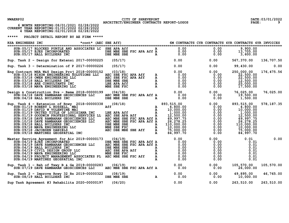## NWAERP02 CITY OF SHREVEPORT<br>29 ARCHITECT/ENGINEER CONTRACTS REPORT-LOGOS PAGE: 9 PAGE: 9

|  | 6 MONTH REPORTING: 08/01/2021 02/28/2022     |  |
|--|----------------------------------------------|--|
|  | CURRENT YEAR REPORTING:01/01/2022 02/28/2022 |  |
|  | 4 YEAR REPORTING: 02/01/2018 02/28/2022      |  |

| KSA ENGINEERS INC                                                                                                                                                                                                                                                                                  |                                                                                                                                                                                                                                   |                                                                                                                                                         |      |                  |             |
|----------------------------------------------------------------------------------------------------------------------------------------------------------------------------------------------------------------------------------------------------------------------------------------------------|-----------------------------------------------------------------------------------------------------------------------------------------------------------------------------------------------------------------------------------|---------------------------------------------------------------------------------------------------------------------------------------------------------|------|------------------|-------------|
| SUB: 05/17 BLOCKED PURTLE AND ASSOCIATES LC SBE APA Aff<br>SUB: 05/17 EJES INCORPORATED<br>SUB: 05/17 HALL BUILDERS INC                                                                                                                                                                            | 13,705.00 0 0.00 0 0.00 0 0.00 0 0.00 0 0.00 0 0.00 0 DBE APA Aff A 0.00 0 0.00 0 0.00 0 0.00 0 0.00 0 0.00 0 0<br>DBE MBE SBE FSC APA Aff A 0.00 0.00 0.00 0.00 0.00 0 DBE MBE SBE FSC APA Aff A 0.00 0.00 0.00 0.00 0.00 0.00 0 |                                                                                                                                                         |      |                  |             |
| Sup. Task 2 - Design for Extensi 2017-00000225 (05/17) 0.00 0.00 0.00 567,370.00 136,707.50                                                                                                                                                                                                        |                                                                                                                                                                                                                                   |                                                                                                                                                         |      |                  |             |
| Sup. Task 3 - Determination of P 2017-00000226 (05/17) 0.00                                                                                                                                                                                                                                        |                                                                                                                                                                                                                                   |                                                                                                                                                         |      | $0.00$ 99,430.00 | 0.00        |
| 9. Task 5 – Determination of F 2017 000000152<br>SUB:03/18 NIXON ENGINEERING SOLUTIONS LLC<br>SUB:03/18 NIXON ENGINEERING SOLUTIONS LLC<br>SUB:03/18 NIXON ENGINEERING LLC<br>SUB:03/18 NAVA ENGINEERING LLC<br>SUB:03/18 ARE CONSULTANT<br>Eng Contract MSA W&S Design Proj 2018-00000152 (03/18) |                                                                                                                                                                                                                                   |                                                                                                                                                         |      |                  | 176, 475.56 |
|                                                                                                                                                                                                                                                                                                    |                                                                                                                                                                                                                                   |                                                                                                                                                         |      |                  | 76,025.00   |
|                                                                                                                                                                                                                                                                                                    |                                                                                                                                                                                                                                   |                                                                                                                                                         |      |                  | 578, 187.35 |
| Master Service Agreement for Air 2019-00000173 (04/19)<br>SUB:04/19 EJES INCORPORATED<br>SUB:04/19 EJES INCORPORATED<br>SUB:04/19 EALL BUILDERS INC DEE MEE SEE FSC APA Aff A<br>SUB:04/19 HALL BUILDERS INC DEE MEE SEE FSC APA Aff A                                                             |                                                                                                                                                                                                                                   |                                                                                                                                                         |      |                  | 0.00        |
| Sup. Task 1 - Reh of Txwy B & Ge 2019-00000283 (06/19)<br>SUB:07/19 DAVE RAMBARAN GEOSCIENCES LLC AEC MBE SBE FSC APA Aff A 0.00 0 0 0 0 0 0 0 26,000.00                                                                                                                                           |                                                                                                                                                                                                                                   |                                                                                                                                                         |      |                  | 105,570.00  |
| Sup. Task 2 - Improve Rnwy 32 Rn 2019-00000322 (08/19)<br>SUB:08/19 HALL BUILDERS INC DBE MBE SBE                                                                                                                                                                                                  |                                                                                                                                                                                                                                   | $\begin{array}{cccccccc} \texttt{A} & & & 0.00 & & & 0.00 & & & 49,895.00 & & 46,765.00 \ \texttt{A} & & & 0.00 & & & 0.00 & & & 10,000.00 \end{array}$ |      |                  |             |
| Sup Task Agreement #3 Rehabilita 2020-00000197 (06/20)                                                                                                                                                                                                                                             |                                                                                                                                                                                                                                   | 0.00                                                                                                                                                    | 0.00 | 263,510.00       | 263,510.00  |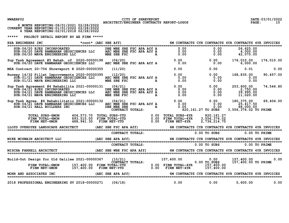## NWAERP02 CITY OF SHREVEPORT<br>
ARCHITECT/ENGINEER CONTRACTS REPORT-LOGOS PAGE: 10<br>
C 1001222 PAGE: 10

| 6 MONTH REPORTING: 08/01/2021 02/28/2022      |  |
|-----------------------------------------------|--|
| CURRENT YEAR REPORTING: 01/01/2022 02/28/2022 |  |
| 4 YEAR REPORTING: 02/01/2018 02/28/2022       |  |
|                                               |  |

| *cont* (AEC SBE Aff)<br>KSA ENGINEERS INC                                                                                                                                                                                                                                                 |                                                     |  | 6M CONTRACTS CYR CONTRACTS 4YR CONTRACTS 4YR INVOICES                                                                                                                |                                                                                                      |                                                                                  |                 |
|-------------------------------------------------------------------------------------------------------------------------------------------------------------------------------------------------------------------------------------------------------------------------------------------|-----------------------------------------------------|--|----------------------------------------------------------------------------------------------------------------------------------------------------------------------|------------------------------------------------------------------------------------------------------|----------------------------------------------------------------------------------|-----------------|
| SUB:06/20 EJES INCORPORATED<br>SUB:06/20 DAVE RAMBARAN GEOSCIENCES LLC<br>SUB:06/20 DAVE RAMBARAN GEOSCIENCES LLC<br>SUB:06/20 MAVA ENGINEERING LLC<br>MBE SBE FSC APA Aff A<br>MBE SBE FSC APA Aff A<br>A<br>0.00                                                                        |                                                     |  | $\frac{1}{2}$                                                                                                                                                        | 0.00                                                                                                 | 26,625.00<br>$\begin{array}{cc} 0.00 & 4,000.00 \\ 0.00 & 42,075.00 \end{array}$ |                 |
| ask Agreement #5 Kehab. of 2020-00000198 (06/20) 0.00 0.00<br>SUB:06/20 DAVE RAMBARAN GEOSCIENCES LLC AEC MBE SBE FSC APA Aff A 0.00<br>Sup Task Agreement #5 Rehab. of 2020-00000198 (06/20)                                                                                             |                                                     |  | $0.00$<br>$0.00$                                                                                                                                                     | 0.00                                                                                                 | $0.00$ 176,010.00<br>6,000.00                                                    | 176,010.00      |
| MSA Contract 20-704 Shreveport R 2020-00000355                                                                                                                                                                                                                                            | (11/20)                                             |  | 0.00                                                                                                                                                                 | 0.00                                                                                                 | 0.01                                                                             | 0.00            |
| Runway 14/32 Fillet Improvements 2020-00000395<br>SUB: 01/21 DAVE RAMBARAN GEOSCIENCES LLC<br>SUB: 01/21 MAVA ENGINEERING LLC                                                                                                                                                             |                                                     |  | $\begin{array}{c} 0.00\ 0.00\ 0.00 \end{array}$<br>(12/20) (12/20) (12/20)<br>AEC MBE SBE FSC APA Aff A 0.00<br>MBE SBE FSC APA A 0.00                               | 0.00                                                                                                 | $0.00$ $168,835.00$ $0.00$<br>0.00                                               | 90,457.00       |
| Sup Task Agreement #4 Rehabilita 2021-00000131<br>$SUB:04/21$ EJES INCORPORATED<br>SUB: 04/21 DAVE RAMBARAN GEOSCIENCES LLC<br>SUB: 04/21 MAVA ENGINEERING LLC                                                                                                                            | (04/21)<br>AEC MBE SBE FSC APA Aff A<br>MBE SBE FSC |  | $0.00$ 0.00<br>U <sup>4</sup> / <sup>2</sup> 1)<br>DBE MBE SBE FSC APA Aff A<br>AEC MBE SBE FSC APA Aff A<br>MBE SBE FSC APA Aff A<br>$0.00$<br>O.00<br>O.00<br>O.00 | 0.00                                                                                                 | 253,600.00<br>2,750.00<br>39,995.00<br>11,020.00                                 | 74,546.80       |
| Sup Task Agree. #6 Rehabilitatio 2021-00000132 (04/21)<br>SUB: 04/21 DAVE RAMBARAN GEOSCIENCES LLC<br>SUB: 04/21 HALL BUILDERS INC                                                                                                                                                        |                                                     |  | $0.00$<br>0.00 $0.00$<br>0.00 0.00<br>AEC WBE SEE FSC APA Aff A<br>DBE MBE SBE A<br>CONTRACT TOTALS: A<br>820                                                        | $\begin{array}{ccc} 0.00 & 180,375.00 \ 0.00 & 25,417.50 \end{array}$<br>0.00<br>820, 161.27 TO SUBS | 68,000.00<br>3,556,376.02 TO PRIME                                               | 69,404.00       |
| TOTAL SUBS-6MON 404,573.70 TOTAL SUBS-YTD 0.00 TOTAL SUBS-4YR 820,161.27<br>FIRM TOTAL-6MON 893,515.00 FIRM TOTAL-YTD 0.00 FIRM TOTAL-4YR 3,556,376.02<br>FIRM NET-6MON 488,941.30 FIRM NET-YTD 0.00 FIRM NET-4YR 2,736,214.75                                                            |                                                     |  |                                                                                                                                                                      |                                                                                                      |                                                                                  |                 |
| LLOYD OVERDYKE LANDSCAPE ARCHITECT (AEC SBE FSC APA Aff) 6M CONTRACTS CYR CONTRACTS 4YR CONTRACTS 4YR INVOICES                                                                                                                                                                            |                                                     |  |                                                                                                                                                                      |                                                                                                      |                                                                                  |                 |
|                                                                                                                                                                                                                                                                                           | CONTRACT TOTALS:                                    |  |                                                                                                                                                                      | $0.00$ TO SUBS                                                                                       |                                                                                  | $0.00$ TO PRIME |
| MIKE MCSWAIN ARCHITECT LLC                                                                                                                                                                                                                                                                |                                                     |  |                                                                                                                                                                      |                                                                                                      |                                                                                  |                 |
|                                                                                                                                                                                                                                                                                           | CONTRACT TOTALS:                                    |  |                                                                                                                                                                      | $0.00$ TO SUBS                                                                                       |                                                                                  | $0.00$ TO PRIME |
| MISCHA FARRELL ARCHITECT                                                                                                                                                                                                                                                                  |                                                     |  |                                                                                                                                                                      |                                                                                                      |                                                                                  |                 |
| Build-Out Design for Old Galilee 2021-00000367<br>Design for Old Galilee 2021-00000367 (10/21) 157,400.00 0.00 0.00<br>CONTRACT TOTALS: 0.00 FIRM TOTAL-4YR 0.00 TO SUBS<br>FIRM NET-6MON 157,400.00 FIRM NET-4TD 0.00 FIRM NET-4YR 157,400.00<br>FIRM NET-4YR 157,400.00 FIRM NET-4TD 0. |                                                     |  |                                                                                                                                                                      |                                                                                                      | 157,400.00<br>157,400.00 TO PRIME                                                | 0.00            |
| MOHR AND ASSOCIATES INC                                                                                                                                                                                                                                                                   |                                                     |  |                                                                                                                                                                      |                                                                                                      |                                                                                  |                 |
| 2018 PROFESSIONAL ENGINEERING SV 2018-00000271 (06/18)                                                                                                                                                                                                                                    |                                                     |  | 0.00                                                                                                                                                                 | 0.00                                                                                                 | 5,600.00                                                                         | 0.00            |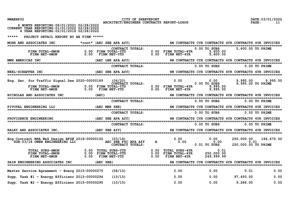| NWAERP02 |  |
|----------|--|
|----------|--|

CITY OF SHREVEPORT **CITY OF SHREVEPORT** CITY OF SHREVEPORT DATE:03/01/2022 **DATE:03/01/2022** 

| 6 MONTH REPORTING: 08/01/2021 02/28/2022<br>CURRENT YEAR REPORTING: 01/01/2022 02/28/2022<br>4 YEAR REPORTING: 02/01/2018 02/28/2022                                                                                                                            |                  |  |                                             |                            |                 |      |
|-----------------------------------------------------------------------------------------------------------------------------------------------------------------------------------------------------------------------------------------------------------------|------------------|--|---------------------------------------------|----------------------------|-----------------|------|
| *****<br>PROJECT DETAIL REPORT BY AE FIRM *****                                                                                                                                                                                                                 |                  |  |                                             |                            |                 |      |
| MOHR AND ASSOCIATES INC *cont* (AEC SBE APA Aff) 6M CONTRACTS CYR CONTRACTS 4YR CONTRACTS 4YR INVOICES                                                                                                                                                          |                  |  |                                             |                            |                 |      |
| CONTRACT TOTALS: 0.00 FIRM TOTAL-4YR 0.00 TO SUBS 5,600.00 TO PRIME<br>FIRM NET-6MON 0.00 FIRM TOTAL-YTD 0.00 FIRM NET-4YR 5,600.00<br>FIRM NET-6MON 0.00 FIRM NET-YTD 0.00 FIRM NET-4YR 5,600.00                                                               |                  |  |                                             |                            |                 |      |
| MWH AMERICAS INC                                                                                                                                                                                                                                                |                  |  |                                             |                            |                 |      |
|                                                                                                                                                                                                                                                                 | CONTRACT TOTALS: |  |                                             | 0.00 TO SUBS 0.00 TO PRIME |                 |      |
|                                                                                                                                                                                                                                                                 |                  |  |                                             |                            |                 |      |
| Eng. Ser. for Traffic Signal Des 2020-00000189 (06/20) 0.00 0.00 0.00 0.00 0.00 9,995.00 9,995.00<br>CONTRACT TOTALS: 0.00 FIRM TOTAL-4YR 0.00 TO SUBS 9,995.00 0 PIRM TOTAL<br>FIRM NET-6MON 0.00 FIRM NET-YTD 0.00 FIRM NET-4YR 9,                            |                  |  |                                             |                            |                 |      |
| NICHOLAS AND ASSOCIATES INC (AEC) 60 CONTRACTS CYR CONTRACTS 4YR CONTRACTS AND ASSOCIATES INVOICES                                                                                                                                                              |                  |  |                                             |                            |                 |      |
|                                                                                                                                                                                                                                                                 |                  |  | CONTRACT TOTALS: 0.00 TO SUBS 0.00 TO PRIME |                            |                 |      |
| PIVOTAL ENGINEERING LLC (AEC MBE SBE) 6M CONTRACTS CYR CONTRACTS 4YR CONTRACTS 4YR INVOICES                                                                                                                                                                     |                  |  |                                             |                            |                 |      |
|                                                                                                                                                                                                                                                                 | CONTRACT TOTALS: |  |                                             | 0.00 TO SUBS 0.00 TO PRIME |                 |      |
|                                                                                                                                                                                                                                                                 |                  |  |                                             |                            |                 |      |
|                                                                                                                                                                                                                                                                 | CONTRACT TOTALS: |  | 0.00 TO SUBS 0.00 TO PRIME                  |                            |                 |      |
| RALEY AND ASSOCIATES INC, (AEC SBE Aff) 60 CONTRACTS CYR CONTRACTS 4YR CONTRACTS 4YR INVOICES                                                                                                                                                                   |                  |  |                                             |                            |                 |      |
| Eng Contract MSA W&S Design RFS# 2018-00000150 (03/18) $\text{AEC}$ SUB:03/18 OWEN ENGINEERING LLC $\text{SUE}:03/18$ OREN ENGINEERING LLC $\text{AEC}$ SEC SEE FSC APA Aff a $\begin{array}{ccc} 0.00 & 0.00 & 0.00 & 0.00 & 0.01 \\ 0.01 & 0.00 & 0.01 & 0.0$ |                  |  |                                             |                            |                 |      |
|                                                                                                                                                                                                                                                                 |                  |  |                                             |                            |                 |      |
| SAIN ENGINEERING ASSOCIATES INC (AEC SBE) 6M CONTRACTS CYR CONTRACTS 4YR CONTRACTS 4YR INVOICES                                                                                                                                                                 |                  |  |                                             |                            |                 |      |
| Master Service Agreement - Energ 2015-00000275                                                                                                                                                                                                                  | (08/15)          |  | 0.00                                        | 0.00                       | 0.01            | 0.00 |
| Supp. Task #1 - Energy Efficienc $2015-00000294$                                                                                                                                                                                                                | (10/15)          |  | $\overline{0.00}$                           | $0.00$ 97,493.00           |                 | 0.00 |
| Supp. Task $#2$ - Energy Efficienc 2015-00000295                                                                                                                                                                                                                | (10/15)          |  | 0.00                                        |                            | $0.00$ 9,286.00 | 0.00 |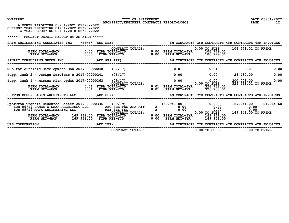NWAERP02 CITY OF SHREVEPORT<br>2 ARCHITECT/ENGINEER CONTRACTS REPORT-LOGOS PAGE: 12<br>2 PAGE: 12

|                                                                                                                                                                                                                                         | CONTRACT TOTALS: |  |                                                                                                        | 0.00 TO SUBS 0.00 TO PRIME                         |                      |      |
|-----------------------------------------------------------------------------------------------------------------------------------------------------------------------------------------------------------------------------------------|------------------|--|--------------------------------------------------------------------------------------------------------|----------------------------------------------------|----------------------|------|
| URS CORPORATION                                                                                                                                                                                                                         | (AEC LBE)        |  |                                                                                                        |                                                    |                      |      |
| SporTran Transit Resource Center 2019-00000336 (09/19) 169,941.00 0.00<br>SUB:09/19 JAMES W DEAN ARCHITECT LLC AEC SBE FSC APA Aff a 0.00 0.00<br>SUB:09/19 MAVA ENGINEERING LLC MBE SBE FSC APA Aff a 0.00 00 00<br>FIRM TOTAL-6MON    |                  |  |                                                                                                        |                                                    |                      |      |
|                                                                                                                                                                                                                                         |                  |  |                                                                                                        |                                                    |                      |      |
|                                                                                                                                                                                                                                         |                  |  | 169,941.00 0.00 169,941.00 101,964.60<br>A 0.00 0.00 0.00 0.00 0.00<br>a 0.00 0.00 0.00 0.00 0.00 0.00 |                                                    |                      |      |
| SUTTON BEEBE BABIN ARCHITECTS LLC                                                                                                                                                                                                       | $(AEC$ SBE)      |  | 6M CONTRACTS CYR CONTRACTS 4YR CONTRACTS 4YR INVOICES                                                  |                                                    |                      |      |
| k 1 - Master Plan Updat 2017-00000363 (09/17) $0.00$ 0.00 0.00<br>CONTRACT TOTALS: 0.01 FIRM TOTAL-4YR 0.00 TO SUBS<br>FIRM TOTAL-6MON 0.01 FIRM TOTAL-YTD 0.01 FIRM NET-4YR 326,738.01<br>FIRM NET-6MON 0.01 FIRM NET-YTD 0.01 FIRM NE |                  |  |                                                                                                        |                                                    | 326, 738.01 TO PRIME |      |
| Supp. Task 1 - Master Plan Updat 2017-00000363                                                                                                                                                                                          |                  |  |                                                                                                        | $0.00$ $300,008.00$<br>$0.00$ $326,738.01$ TO PRII |                      | 0.00 |
| Supp. Task $2$ - Design Services R 2017-00000241                                                                                                                                                                                        | (05/17)          |  | $0.00$ $0.00$ $26,730.00$                                                                              |                                                    |                      | 0.00 |
| MSA for Airfield Development Con 2017-00000048                                                                                                                                                                                          | (02/17)          |  | $0.01$ $0.01$ $0.01$ $0.01$                                                                            |                                                    |                      | 0.00 |
| STUART CONSULTING GROUP INC (AEC APA Aff) 6M CONTRACTS CYR CONTRACTS 4YR CONTRACTS 4YR INVOICES                                                                                                                                         |                  |  |                                                                                                        |                                                    |                      |      |
| CONTRACT TOTALS: 0.00 FIRM TOTAL-6MON 0.00 FIRM TOTAL-7TD<br>0.00 FIRM TOTAL-19R 0.00 FIRM TOTAL-7TD 0.00 FIRM NET-4YR 106,779.01<br>0.00 FIRM NET-4YR 106,779.01 6.00 FIRM NET-4YR 106,779.01                                          |                  |  |                                                                                                        | 0.00 TO SUBS 106,779.01 TO PRIME                   |                      |      |
| SAIN ENGINEERING ASSOCIATES INC *cont* (AEC SBE)                                                                                                                                                                                        |                  |  | 6M CONTRACTS CYR CONTRACTS 4YR CONTRACTS 4YR INVOICES                                                  |                                                    |                      |      |
| ***** PROJECT DETAIL REPORT BY AE FIRM *****                                                                                                                                                                                            |                  |  |                                                                                                        |                                                    |                      |      |
| 6 MONTH REPORTING: 08/01/2021 02/28/2022<br>CURRENT YEAR REPORTING: 01/01/2022 02/28/2022<br>4 YEAR REPORTING: 02/01/2018 02/28/2022                                                                                                    |                  |  |                                                                                                        |                                                    |                      |      |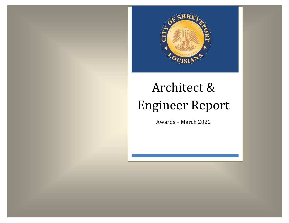

#### Architect & Engineer Report Architect & Engineer Report  $\epsilon$ Engineer Engineer Rep

Awards - March 2022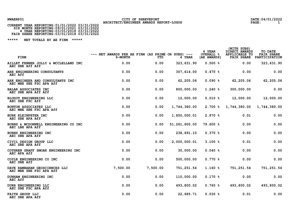### NWAERP01 CITY OF SHREVEPORT<br>2022 and the page of the contract of the contract of the contract of the contract of the contract of the contract of the contract of the contract of the contract of the contract of the contract

| CURRENT YEAR REPORTING:01/01/2022 03/31/2022                                                                                         |  |
|--------------------------------------------------------------------------------------------------------------------------------------|--|
| SIX MONTH REPORTING: 09/01/2021 03/31/2022<br>4 YEAR REPORTING: 03/01/2018 03/31/2022<br>FAIR SHARE REPORTING: 03/01/2018 03/31/2022 |  |
|                                                                                                                                      |  |
|                                                                                                                                      |  |

| FIRM                                                        | $---$ NET AWARDS PER AE FIRM (AS PRIME OR SUBS) $---$<br>6-MONTH | YTD      | 4 YEAR          | 4 YEAR<br><b>OVERALL %</b><br>(AE AWARDS) | (WITH SUBS)<br>DIRECT AWARDS<br>APPLICABLE TO<br>FAIR SHARE | TO DATE<br><b>FAIR SHARE</b><br>PARTICIPATION |
|-------------------------------------------------------------|------------------------------------------------------------------|----------|-----------------|-------------------------------------------|-------------------------------------------------------------|-----------------------------------------------|
| AILLET FENNER JOLLY & MCCLELLAND INC<br>AEC SBE Aff Aff     | 0.00                                                             | 0.00     | 323, 631.90     | 0.500%                                    | 0.00                                                        | 323, 631.90                                   |
| ARE ENGINEERING CONSULTANTS<br><b>AEC Aff</b>               | 0.00                                                             | 0.00     | 307, 614.00     | 0.470%                                    | 0.00                                                        | 0.00                                          |
| ARK ENGINEER AND CONSULTANTS INC<br>AEC MBE SBE FSC APA Aff | 0.00                                                             | 0.00     | 62,205.06       | $0.090$ %                                 | 62,205.06                                                   | 62,205.06                                     |
| BALAR ASSOCIATES INC<br>AEC SBE APA Aff Aff                 | 0.00                                                             | 0.00     | 800,000.00      | $1.240$ %                                 | 300,000.00                                                  | 0.00                                          |
| <b>BLUDOT ENGINEERING LLC</b><br>AEC SBE FSC Aff            | 0.00                                                             | 0.00     | 12,000.00       | $0.010$ %                                 | 12,000.00                                                   | 12,000.00                                     |
| BONTON ASSOCIATES LLC<br>AEC MBE SBE FSC APA Aff            | 0.00                                                             | 0.00     | 1,744,380.00    | $2.700$ $\frac{6}{5}$                     | 1,744,380.00                                                | 1,744,380.00                                  |
| <b>BURK KLEINPETER INC</b><br>AEC SBE APA Aff               | 0.00                                                             | 0.00     | 1,850,000.01    | 2.870 %                                   | 0.01                                                        | 0.00                                          |
| BURNS & MCDONNELL ENGINEERING CO INC<br>AEC LBE APA Aff     | 0.00                                                             | 0.00     | 51, 261, 600.00 | 79.600 %                                  | 0.00                                                        | 0.00                                          |
| BURNS ENGINEERING INC<br>AEC SBE APA Aff                    | 0.00                                                             | 0.00     | 238,691.10      | 0.370%                                    | 0.00                                                        | 0.00                                          |
| CIVIL DESIGN GROUP LLC<br>AEC SBE APA Aff                   | 0.00                                                             | 0.00     | 2,000,000.01    | 3.100%                                    | 0.01                                                        | 0.00                                          |
| COTHREN GRAFF SMOAK ENGINEERING INC<br>AEC APA Aff          | 0.00                                                             | 0.00     | 30,000.00       | $0.040$ %                                 | 0.00                                                        | 0.00                                          |
| COYLE ENGINEERING CO INC<br>AEC SBE Aff                     | 0.00                                                             | 0.00     | 500,000.00      | 0.770%                                    | 0.00                                                        | 0.00                                          |
| DAVE RAMBARAN GEOSCIENCES LLC<br>AEC MBE SBE FSC APA Aff    | 7,500.00                                                         | 7,500.00 | 751, 251.54     | $1.160$ $8$                               | 751, 251.54                                                 | 751,251.54                                    |
| DUNHAM ENGINEERING INC<br>AEC Aff                           | 0.00                                                             | 0.00     | 110,000.00      | 0.170%                                    | 0.00                                                        | 0.00                                          |
| DURR ENGINEERING LLC<br>AEC SBE FSC APA Aff                 | 0.00                                                             | 0.00     | 493,800.02      | 0.760%                                    | 493,800.02                                                  | 493,800.02                                    |
| FAITH GROUP LLC<br>AEC SBE APA Aff                          | 0.00                                                             | 0.00     | 22,685.71       | $0.030*$                                  | 0.01                                                        | 0.00                                          |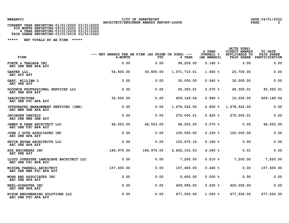# NWAERP01 CITY OF SHREVEPORT<br>2 **ARCHITECT/ENGINEER AWARDS REPORT-LOGOS** PAGE: 2<br>2 CURRENT YEAR REPORTING:01/01/2022 03/31/2022

| CURRENT YEAR REPORTING:01/01/2022 03/31/2022 |  |
|----------------------------------------------|--|
| SIX MONTH REPORTING: 09/01/2021 03/31/2022   |  |
| 4 YEAR REPORTING: 03/01/2018 03/31/2022      |  |
| FAIR SHARE REPORTING: 03/01/2018 03/31/2022  |  |

| FIRM                                                          | $---$ NET AWARDS PER AE FIRM (AS PRIME OR SUBS) $---$<br>6-MONTH | YTD         | 4 YEAR       | 4 YEAR<br><b>OVERALL %</b><br>(AE AWARDS) | (WITH SUBS)<br>DIRECT AWARDS<br>APPLICABLE TO<br><b>FAIR SHARE</b> | TO DATE<br><b>FAIR SHARE</b><br>PARTICIPATION |
|---------------------------------------------------------------|------------------------------------------------------------------|-------------|--------------|-------------------------------------------|--------------------------------------------------------------------|-----------------------------------------------|
| FORTE & TABLADA INC<br>AEC SBE WBE APA Aff                    | 0.00                                                             | 0.00        | 96,209.00    | 0.140%                                    | 0.00                                                               | 0.00                                          |
| GARVER LLC,<br>AEC Aff Aff                                    | 54,800.00                                                        | 54,800.00   | 1,071,710.01 | $1.660*$                                  | 25,700.00                                                          | 0.00                                          |
| GARY, WILLIAM L<br>AEC SBE Aff                                | 0.00                                                             | 0.00        | 30,000.00    | 0.040%                                    | 30,000.00                                                          | 0.00                                          |
| GOODWIN PROFESSIONAL SERVICES LLC<br>AEC SBE APA Aff          | 0.00                                                             | 0.00        | 45,300.01    | $0.070$ %                                 | 45,300.01                                                          | 45,300.01                                     |
| <b>IARCHITECTURE</b><br>AEC SBE FSC APA Aff                   | 35,000.00                                                        | 0.00        | 609,149.04   | 0.940%                                    | 10,000.00                                                          | 609,149.04                                    |
| INTEGRATED MANAGEMENT SERVICES (IMS)<br>AEC MBE SBE APA Aff   | 0.00                                                             | 0.00        | 1,678,522.00 | $2.600*$                                  | 1,678,522.00                                                       | 0.00                                          |
| <b>JACOBSEN DANIELS</b><br>AEC DBE MBE SBE Aff                | 0.00                                                             | 0.00        | 275,000.01   | $0.420$ %                                 | 275,000.01                                                         | 0.00                                          |
| JAMES W DEAN ARCHITECT LLC<br>AEC SBE FSC APA Aff             | 48,503.00                                                        | 48,503.00   | 48,503.00    | $0.070$ %                                 | 0.00                                                               | 48,503.00                                     |
| JOHN J GUTH ASSOCIATES INC<br>AEC SBE APA Aff                 | 0.00                                                             | 0.00        | 100,000.00   | 0.150%                                    | 100,000.00                                                         | 0.00                                          |
| KEVIN BRYAN ARCHITECTS LLC<br>AEC SBE APA Aff                 | 0.00                                                             | 0.00        | 103, 675.10  | 0.160%                                    | 0.00                                                               | 0.00                                          |
| KSA ENGINEERS INC<br>AEC SBE Aff                              | 184, 975.00                                                      | 184, 975.00 | 2,602,310.03 | $4.040*$                                  | 0.01                                                               | 0.00                                          |
| LLOYD OVERDYKE LANDSCAPE ARCHITECT LLC<br>AEC SBE FSC APA Aff | 0.00                                                             | 0.00        | 7,200.00     | $0.010$ %                                 | 7,200.00                                                           | 7,200.00                                      |
| MISCHA FARRELL ARCHITECT<br>AEC SBE WBE FSC APA Aff           | 157,400.00                                                       | 0.00        | 157,400.00   | $0.240$ %                                 | 0.00                                                               | 157,400.00                                    |
| MOHR AND ASSOCIATES INC<br>AEC SBE APA Aff                    | 0.00                                                             | 0.00        | 5,600.00     | $0.000$ %                                 | 0.00                                                               | 0.00                                          |
| NEEL-SCHAFFER INC<br>AEC SBE APA Aff                          | 0.00                                                             | 0.00        | 409,995.00   | 0.630%                                    | 400,000.00                                                         | 0.00                                          |
| NIXON ENGINEERING SOLUTIONS LLC<br>AEC SBE FSC APA Aff        | 0.00                                                             | 0.00        | 677,500.00   | 1.050%                                    | 677,500.00                                                         | 677,500.00                                    |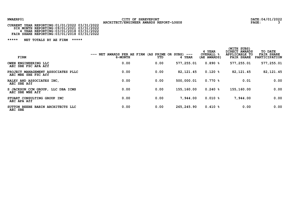# NWAERP01 CITY OF SHREVEPORT<br>CURRENT YEAR REPORTING:01/01/2022 03/31/2022 ARCHITECT/ENGINEER AWARDS REPORT-LOGOS<br>CURRENT YEAR REPORTING:01/01/2022 03/31/2022

| CURRENT YEAR REPORTING:01/01/2022 03/31/2022 |  |
|----------------------------------------------|--|
| SIX MONTH REPORTING: 09/01/2021 03/31/2022   |  |
| 4 YEAR REPORTING: 03/01/2018 03/31/2022      |  |
| FAIR SHARE REPORTING: 03/01/2018 03/31/2022  |  |

| FIRM                                                          | NET AWARDS PER AE FIRM (AS PRIME OR SUBS)<br>$---$<br>6-MONTH | YTD  | $---$<br>4 YEAR | 4 YEAR<br><b>OVERALL %</b><br>(AE AWARDS) | (WITH SUBS)<br>DIRECT AWARDS<br>APPLICABLE TO<br><b>FAIR SHARE</b> | TO DATE<br><b>FAIR SHARE</b><br>PARTICIPATION |
|---------------------------------------------------------------|---------------------------------------------------------------|------|-----------------|-------------------------------------------|--------------------------------------------------------------------|-----------------------------------------------|
| OWEN ENGINEERING LLC<br>AEC SBE FSC APA Aff                   | 0.00                                                          | 0.00 | 577,255.01      | 0.890%                                    | 577,255.01                                                         | 577,255.01                                    |
| PROJECT MANAGEMENT ASSOCIATES PLLC<br>AEC MBE SBE FSC Aff     | 0.00                                                          | 0.00 | 82, 121.45      | 0.120%                                    | 82, 121.45                                                         | 82, 121.45                                    |
| RALEY AND ASSOCIATES INC,<br>AEC SBE Aff                      | 0.00                                                          | 0.00 | 500,000.01      | 0.770%                                    | 0.01                                                               | 0.00                                          |
| S JACKSON CCM GROUP,<br>LLC DBA ICMS<br>AEC SBE WBE Aff       | 0.00                                                          | 0.00 | 155,160.00      | $0.240$ %                                 | 155,160.00                                                         | 0.00                                          |
| STUART CONSULTING GROUP INC<br>AEC APA Aff                    | 0.00                                                          | 0.00 | 7,944.00        | 0.010%                                    | 7,944.00                                                           | 0.00                                          |
| <b>BABIN ARCHITECTS LLC</b><br><b>SUTTON BEEBE</b><br>AEC SBE | 0.00                                                          | 0.00 | 265, 245, 90    | 0.410%                                    | 0.00                                                               | 0.00                                          |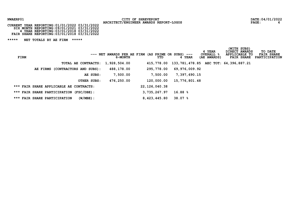# NWAERP01 CITY OF SHREVEPORT<br>2022 **ARCHITECT/ENGINEER AWARDS REPORT-LOGOS** PAGE: PAGE: 4<br>24 CURRENT YEAR REPORTING:01/01/2022 03/31/2022

| CURRENT YEAR REPORTING:01/01/2022 03/31/2022 |  |
|----------------------------------------------|--|
| SIX MONTH REPORTING: 09/01/2021 03/31/2022   |  |
| 4 YEAR REPORTING: 03/01/2018 03/31/2022      |  |
| FAIR SHARE REPORTING: 03/01/2018 03/31/2022  |  |

| FIRM |                                             |             | $---$ NET AWARDS PER AE FIRM (AS PRIME OR SUBS) $---$<br>6-MONTH | YTD.             | <b>YEAR</b>                                      | 4 YEAR<br><b>OVERALL &amp;</b><br>(AE AWARDS) | (WITH SUBS)<br>DIRECT AWARDS<br>APPLICABLE TO<br><b>FAIR SHARE</b> | TO DATE<br><b>FAIR SHARE</b><br>PARTICIPATION |
|------|---------------------------------------------|-------------|------------------------------------------------------------------|------------------|--------------------------------------------------|-----------------------------------------------|--------------------------------------------------------------------|-----------------------------------------------|
|      | TOTAL AE CONTRACTS: 1,928,504.00            |             |                                                                  |                  | 415,778.00 133,781,478.85 AEC TOT: 64,396,887.21 |                                               |                                                                    |                                               |
|      | (CONTRACTORS AND SUBS):<br>AE FIRMS         |             | 488,178.00                                                       | 295,778.00       | 69,976,009.92                                    |                                               |                                                                    |                                               |
|      |                                             | AE SUBS:    | 7,500.00                                                         | 7,500.00         | 7,397,690.15                                     |                                               |                                                                    |                                               |
|      |                                             | OTHER SUBS: | 476,250.00                                                       | 120,000.00       | 15,776,801.48                                    |                                               |                                                                    |                                               |
|      | *** FAIR SHARE APPLICABLE AE CONTRACTS:     |             |                                                                  | 22, 126, 040. 38 |                                                  |                                               |                                                                    |                                               |
|      | *** FAIR SHARE PARTICIPATION (FSC/DBE):     |             |                                                                  | 3, 735, 267.97   | 16.88%                                           |                                               |                                                                    |                                               |
|      | $(W/MBE)$ :<br>*** FAIR SHARE PARTICIPATION |             |                                                                  | 8,423,445.80     | 38.07 %                                          |                                               |                                                                    |                                               |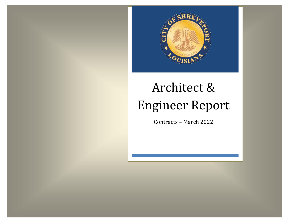

#### Architect & Engineer Report Architect & Engineer Report  $\epsilon$ Engineer Engineer Rep

Contracts - March 2022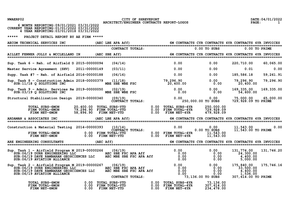NWAERP02 CITY OF SHREVEPORT<br>201/2022 ARCHITECT/ENGINEER CONTRACTS REPORT-LOGOS PAGE: 1<br>21 ARCHITECT/ENGINEER CONTRACTS REPORT-LOGOS

|  | 6 MONTH REPORTING: 09/01/2021 03/31/2022      |  |
|--|-----------------------------------------------|--|
|  | CURRENT YEAR REPORTING: 01/01/2022 03/31/2022 |  |
|  | 4 YEAR REPORTING: 03/01/2018 03/31/2022       |  |
|  |                                               |  |

| AECOM TECHNICAL SERVICES INC                                                                                                                                                                                                                                                                                                                                                                                                                                                          | (AEC LBE APA Aff)                                              |                               |                                                                                                                                                                                          |                                                       | 6M CONTRACTS CYR CONTRACTS 4YR CONTRACTS 4YR INVOICES                                                 |                   |
|---------------------------------------------------------------------------------------------------------------------------------------------------------------------------------------------------------------------------------------------------------------------------------------------------------------------------------------------------------------------------------------------------------------------------------------------------------------------------------------|----------------------------------------------------------------|-------------------------------|------------------------------------------------------------------------------------------------------------------------------------------------------------------------------------------|-------------------------------------------------------|-------------------------------------------------------------------------------------------------------|-------------------|
|                                                                                                                                                                                                                                                                                                                                                                                                                                                                                       |                                                                | CONTRACT TOTALS:              |                                                                                                                                                                                          | $0.00$ TO SUBS                                        |                                                                                                       | 0.00 TO PRIME     |
| AILLET FENNER JOLLY & MCCLELLAND IN (AEC SBE Aff) 60 CONTRACTS CYR CONTRACTS 4YR CONTRACTS 4YR INVOICES                                                                                                                                                                                                                                                                                                                                                                               |                                                                |                               |                                                                                                                                                                                          |                                                       |                                                                                                       |                   |
| Sup. Task 6 - Reh. of Airfield D 2015-00000094                                                                                                                                                                                                                                                                                                                                                                                                                                        | (04/14)                                                        |                               | 0.00                                                                                                                                                                                     | 0.00                                                  | 220,710.00                                                                                            | 60,065.00         |
| Master Service Agreement (SHV) 2011-00000149                                                                                                                                                                                                                                                                                                                                                                                                                                          | (03/11)                                                        |                               | 0.00                                                                                                                                                                                     |                                                       | 0.00<br>0.01                                                                                          | 0.00              |
| Supp. Task #7 - Reh. of Airfield 2016-00000188                                                                                                                                                                                                                                                                                                                                                                                                                                        | (06/16)                                                        |                               | 0.00                                                                                                                                                                                     |                                                       | $0.00$ 185,586.18                                                                                     | 59,261.91         |
| Sup. Task 8 - Construction Admin 2018-00000379 (11/18)<br>SUB:11/18 Q SOLUTIONS INC                                                                                                                                                                                                                                                                                                                                                                                                   |                                                                |                               | 18-00000379 (11/18)<br>MBE SBE WBE FSC 10,400.00 0.00                                                                                                                                    | 0.00                                                  | 79,296.90<br>20,400.00                                                                                | 79,296.90         |
| Sup. Task 9 - Admin. Services Re 2019-00000050 (02/19)<br>$SUB:03/19$ Q SOLUTIONS INC                                                                                                                                                                                                                                                                                                                                                                                                 |                                                                |                               | Re 2019-00000050 (02/19)<br>MBE SBE WBE FSC 0.00 0.00 0.00                                                                                                                               |                                                       | 169,335.00<br>54,600.00                                                                               | 169, 335.00       |
| Structural Stabilization Design 2019-00000340 (09/19)                                                                                                                                                                                                                                                                                                                                                                                                                                 |                                                                | $(09/19)$<br>CONTRACT TOTALS: |                                                                                                                                                                                          | 250,000.00 TO SUBS                                    | $0.00$ 0.00 75,000.00 65,000.00<br>729, 928.09 TO PRIME                                               |                   |
| TOTAL SUBS-6MON<br>FIRM TOTAL-6MON<br><b>FIRM NET-6MON</b>                                                                                                                                                                                                                                                                                                                                                                                                                            |                                                                |                               | 20,400.00 TOTAL SUBS-YTD                 0.00 TOTAL SUBS-4YR<br>79,296.90 FIRM TOTAL-YTD                 0.00 FIRM TOTAL-4YR<br>58,896.90 FIRM NET-YTD                 0.00 FIRM NET-4YR | 250,000.00<br>729,928.09<br>479,928.09                |                                                                                                       |                   |
| ARDAMAN & ASSOCIATES INC<br>===========================                                                                                                                                                                                                                                                                                                                                                                                                                               |                                                                |                               |                                                                                                                                                                                          |                                                       | (AEC LBE APA Aff) 6M CONTRACTS CYR CONTRACTS 4YR CONTRACTS (4YR INVOICES) (AEC LBE APA Aff)           |                   |
| Construction & Material Testing 2014-00000393                                                                                                                                                                                                                                                                                                                                                                                                                                         |                                                                |                               |                                                                                                                                                                                          |                                                       |                                                                                                       | $\overline{0.00}$ |
| ARE ENGINEERING CONSULTANTS _______________(AEC Aff) 6M CONTRACTS CYR CONTRACTS 4YR CONTRACTS 4YR INVOICES 4 كالمجاب بن المستوى المستوى المستوى المستوى المستوى المستوى المستوى المستوى المستوى المستوى المستوى المستوى المستو                                                                                                                                                                                                                                                        |                                                                |                               |                                                                                                                                                                                          |                                                       |                                                                                                       |                   |
|                                                                                                                                                                                                                                                                                                                                                                                                                                                                                       |                                                                |                               |                                                                                                                                                                                          |                                                       |                                                                                                       |                   |
| Sup. Task $1 -$ Airfield Program M 2019-00000266 (06/19)                                                                                                                                                                                                                                                                                                                                                                                                                              |                                                                |                               |                                                                                                                                                                                          | 0.00                                                  | 131,774.00<br>0.00<br>24,300.00<br>$\begin{array}{c} 0.00 \ 0.00 \end{array}$<br>4,400.00<br>5,000.00 | 131,746.20        |
| -----<br>). Task 1 - Airfield Program M 2019-00000266 (06/19) 0.00<br>SUB:06/19 DURR ENGINEERING LLC AEC SBE FSC APA Aff 0.00<br>SUB:06/19 DAVE RAMBARAN GEOSCIENCES LLC AEC MBE SBE FSC APA Aff 0.00<br>SUB:06/19 AUTAMBARAN GEOSCIEN<br>Sup. Task 2 - Airfield Program M 2019-00000267 (06/19)<br>SUB:06/19 DURR ENGINEERING LLC<br>SUB:06/19 DAVE RAMBARAN GEOSCIENCES LLC<br>SUB:06/19 DAVE RAMBARAN GEOSCIENCES LLC AEC MBE SBE FSC APA Aff 0.00<br>SUB: 06/19 AVIATION ALLIANCE | 0.00 TOTAL SUBS-YTD<br>0.00 FIRM TOTAL-YTD<br>0.00 FTDM NEW YT | CONTRACT TOTALS:              | Aff 0.00<br>0.00<br>0.00 TOTAL SUBS-YTD<br>0.00 FIRM TOTAL-YTD 0.00 FOTAL SUBS-4YR 73,136.00<br>0.00 FIRM NET-YTD 0.00 FIRM TOTAL-4YR 307,614.00                                         | $0\,.00\0.00$<br>0.00<br>00 0.00<br>73,136.00 TO SUBS | 175,840.00<br>33,500.00<br>0.00<br>4,400.00<br>1,536.00<br>307, 614.00 TO PRIME                       | 175,746.16        |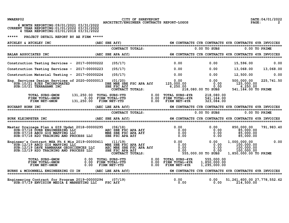NWAERP02 CITY OF SHREVEPORT<br>2 **ARCHITECT/ENGINEER CONTRACTS REPORT-LOGOS** PAGE: 2

|  | 6 MONTH REPORTING: 09/01/2021 03/31/2022      |  |
|--|-----------------------------------------------|--|
|  | CURRENT YEAR REPORTING: 01/01/2022 03/31/2022 |  |
|  | 4 YEAR REPORTING: 03/01/2018 03/31/2022       |  |

| ATCHLEY & ATCHLEY INC                                                                                                                                                                                                                |                   |         |                   |                                                                                                                                                               |                                            |                                                                                                 |                                 |
|--------------------------------------------------------------------------------------------------------------------------------------------------------------------------------------------------------------------------------------|-------------------|---------|-------------------|---------------------------------------------------------------------------------------------------------------------------------------------------------------|--------------------------------------------|-------------------------------------------------------------------------------------------------|---------------------------------|
|                                                                                                                                                                                                                                      |                   |         | CONTRACT TOTALS:  |                                                                                                                                                               | $0.00$ TO SUBS                             | $0.00$ TO PRIME                                                                                 |                                 |
| <b>BALAR ASSOCIATES INC</b>                                                                                                                                                                                                          | (AEC SBE APA Aff) |         |                   |                                                                                                                                                               |                                            |                                                                                                 |                                 |
| Construction Testing Services - 2017-00000222                                                                                                                                                                                        |                   | (05/17) |                   | 0.00                                                                                                                                                          | 0.00                                       | 15,596.00                                                                                       | 0.00                            |
| Construction Testing Services - 2017-00000223                                                                                                                                                                                        |                   | (05/17) | $\sim$ 0.00       |                                                                                                                                                               | 0.00                                       |                                                                                                 | 13,068.00 13,068.00             |
| Construction Material Testing - 2017-00000224                                                                                                                                                                                        |                   | (05/17) |                   | $\overline{0.00}$                                                                                                                                             | 0.00                                       | 12,500.00                                                                                       | 0.00                            |
| Eng. Services Design Services of 2020-00000013 (01/20)<br>SUB:10/21 EJES INCORPORATED<br>$SUB:10/21$ TERRAHAWK INC                                                                                                                   |                   |         |                   | es or 2020-00000013 (01/20) (01/20)<br>DBE MBE SBE FSC APA Aff 125,000.00 0 0.00<br>SBE FSC Aff 6,250.00 6,250.00 0.00<br>CONTRACT TOTALS: 218,080.00 TO SUBS | $218,080.00$ TO SUBS                       | 125,000.00<br>6,250.00<br>541, 164.00 TO PRIME                                                  | 500,000.00 225,741.50           |
| TOTAL SUBS-6MON 131,250.00 TOTAL SUBS-YTD 0.00 TOTAL SUBS-4YR 218,080.00<br>FIRM TOTAL-6MON 0.00 FIRM TOTAL-YTD 0.00 FIRM TOTAL-4YR 541,164.00<br>FIRM NET-6MON 131,250.00 FIRM NET-YTD 0.00 FIRM NET-4YR 323,084.00                 |                   |         |                   |                                                                                                                                                               |                                            |                                                                                                 |                                 |
| <b>BUCHART HORN INC</b>                                                                                                                                                                                                              |                   |         |                   |                                                                                                                                                               |                                            |                                                                                                 |                                 |
|                                                                                                                                                                                                                                      |                   |         |                   |                                                                                                                                                               |                                            |                                                                                                 |                                 |
| <b>BURK KLEINPETER INC</b>                                                                                                                                                                                                           |                   |         |                   |                                                                                                                                                               |                                            |                                                                                                 |                                 |
| Master Drainage Plan & GIS Updat 2018-00000295 (06/18) 0.00 0.00 0.00 0.00<br>SUB:07/18 DURR ENGINEERING LLC AEC SBE FSC APA Aff 0.00 0.00 0.00<br>SUB:07/18 ABCD GIS MAPPING LLC MBE SBE FSC APA Aff 0.00 0.00<br>SUB:07/18 H2O TRA |                   |         |                   |                                                                                                                                                               | 0.00                                       | 850,000.00<br>85,000.00<br>$\begin{array}{ccc} 0.00 & 85,000.00 \ 0.00 & 85,000.00 \end{array}$ | 791,983.40                      |
|                                                                                                                                                                                                                                      |                   |         |                   |                                                                                                                                                               | 555,000.00 TO SUBS                         | 1,000,000.00<br>100,000.00<br>100,000.00<br>1,850,000.00 TO PRIME                               | 0.00                            |
|                                                                                                                                                                                                                                      |                   |         |                   |                                                                                                                                                               | 555,000.00<br>1,850,000.00<br>1,295,000.00 |                                                                                                 |                                 |
| BURNS & MCDONNELL ENGINEERING CO IN                                                                                                                                                                                                  |                   |         | (AEC LBE APA Aff) | 6M CONTRACTS CYR CONTRACTS 4YR CONTRACTS 4YR INVOICES                                                                                                         |                                            |                                                                                                 |                                 |
| Engineering Contract for Program 2019-00000294<br>$\sim$ SUB:07/19 ENVISION MEDIA $\tilde{a}$ MARKETING LLC FSC Aff                                                                                                                  |                   | (07/19) |                   | $0.00$ $0.00$ $0.00$                                                                                                                                          | 0.00                                       | 214,500.00                                                                                      | 51, 261, 600.00 27, 778, 552.62 |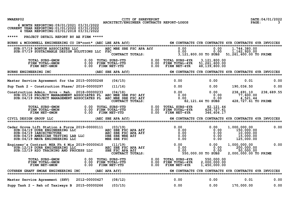| NWAERP02 |  |
|----------|--|
|----------|--|

CITY OF SHREVEPORT **CITY OF SHREVEPORT DATE:04/01/2022 DATE:04/01/2022 PAGE:** 3

| 6 MONTH REPORTING: 09/01/2021 03/31/2022<br>CURRENT YEAR REPORTING: 01/01/2022 03/31/2022<br>4 YEAR REPORTING: 03/01/2018 03/31/2022                                                                                                                                                            |                                                            |                                                                 |                                            |                                                                                                                                     |      |
|-------------------------------------------------------------------------------------------------------------------------------------------------------------------------------------------------------------------------------------------------------------------------------------------------|------------------------------------------------------------|-----------------------------------------------------------------|--------------------------------------------|-------------------------------------------------------------------------------------------------------------------------------------|------|
| *****<br>PROJECT DETAIL REPORT BY AE FIRM *****                                                                                                                                                                                                                                                 |                                                            |                                                                 |                                            |                                                                                                                                     |      |
| BURNS & MCDONNELL ENGINEERING CO IN*cont* (AEC LBE APA Aff) 6M CONTRACTS CYR CONTRACTS 4YR CONTRACTS 4YR INVOICES                                                                                                                                                                               |                                                            |                                                                 |                                            |                                                                                                                                     |      |
| SUB: 07/19 BONTON ASSOCIATES LLC<br>SUB: 07/19 SUSTAINABLE DESIGN SOLUTIONS LLC FSC                                                                                                                                                                                                             | AEC MBE SBE FSC APA Aff FSC 0.00<br>CONTRACT TOTALS: 3,121 |                                                                 | 0.00                                       | 1,744,380.00<br>$0.\overline{00}$ $1,162,920.00$<br>3,121,800.00 TO SUBS 51,261,600.00 TO PRIME                                     |      |
| TOTAL SUBS-6MON        0.00 TOTAL SUBS-YTD       0.00 TOTAL SUBS-4YR   3,121,800.00<br>FIRM TOTAL-6MON        0.00 FIRM TOTAL-YTD        0.00 FIRM TOTAL-4YR   51,261,600.00<br>FIRM NET-6MON        0.00 FIRM NET-YTD        0.00 F                                                            |                                                            |                                                                 |                                            |                                                                                                                                     |      |
| BURNS ENGINEERING INC NOTICLES (AEC SBE APA Aff) 6M CONTRACTS CYR CONTRACTS 4YR CONTRACTS 4YR INVOICES (2009) والمستحد المستحدثة في المستحدثة والمستحدثة والمستحدثة والمستخدمة المستحدثة والمستخدمة والمستخدمة والمستخدمة والم<br><b>BURNS ENGINEERING INC</b>                                  |                                                            |                                                                 |                                            |                                                                                                                                     |      |
| Master Service Agreement for the 2015-00000248                                                                                                                                                                                                                                                  | (04/15)                                                    | 0.00                                                            | 0.00                                       | 0.01                                                                                                                                | 0.00 |
| Sup Task 2 - Construction Phase/ 2016-00000297 (11/16)                                                                                                                                                                                                                                          |                                                            |                                                                 |                                            | $0.00$ 0.00 190,036.50                                                                                                              | 0.00 |
| Construction Admin. Srvs - Reh. 2018-00000233                                                                                                                                                                                                                                                   |                                                            |                                                                 |                                            | 238, 691.10 238, 689.55<br>428, 727.61 TO PRIME                                                                                     |      |
| TOTAL SUBS-6MON        0.00 TOTAL SUBS-YTD       0.00 TOTAL SUBS-4YR     82,121.44<br>FIRM TOTAL-6MON        0.00 FIRM TOTAL-YTD        0.00 FIRM TOTAL-4YR     428,727.61<br>FIRM NET-6MON         0.00  FIRM NET-YTD        0.00                                                              |                                                            |                                                                 |                                            |                                                                                                                                     |      |
| CIVIL DESIGN GROUP LLC                                                                                                                                                                                                                                                                          |                                                            |                                                                 |                                            |                                                                                                                                     |      |
| dar Grove Lift Station & Force 2019-00000111 (03/19)<br>SUB:04/19 DURR ENGINEERING LLC AEC SBE FSC APA Aff 0.00 0.00 0.00<br>SUB:04/19 IARCHITECTURE AEC SEE FSC APA Aff 0.00 0.00 0.00<br>SUB:04/19 AMERICAN TESTING LAB LLC DBE S<br>Cedar Grove Lift Station & Force $2019-00000111$ (03/19) |                                                            |                                                                 |                                            | 1,000,000.00<br>$\begin{smallmatrix} 1 & 0 & 160 & 000 & 00 \\ 160 & 000 & 00 \\ 15 & 000 & 00 \\ 125 & 000 & 00 \end{smallmatrix}$ | 0.00 |
| 30B.04/13 EMAXA ENGLANDENTING EDG.00<br>Fineer's Contract MSA Ph 4 Mis 2019-00000410 (11/19) 0.00 0.00 0.00<br>SUB:12/19 DURR ENGINEERING LLC AEC SBE FSC APA Aff 0.00 0.00 0.00<br>SUB:12/19 H2O TRAINING AND PROCESS LLC SBE FSC A<br>Engineer's Contract MSA Ph 4 Mis 2019-00000410 (11/19)  |                                                            |                                                                 | 550,000.00 TO SUBS                         | 1,000,000.00<br>200,000.00<br>50,000.00<br>2,000,000.00 TO PRIME                                                                    | 0.00 |
| TOTAL SUBS-6MON 0.00 TOTAL SUBS-YTD<br>FIRM TOTAL-6MON 0.00 FIRM TOTAL-YTD<br>FIRM NET-6MON 0.00                                                                                                                                                                                                | FIRM NET-YTD                                               | 0.00 TOTAL SUBS-4YR<br>0.00 FIRM TOTAL-4YR<br>0.00 FIRM NET-4YR | 550,000.00<br>2,000,000.00<br>1,450,000.00 |                                                                                                                                     |      |
| COTHREN GRAFF SMOAK ENGINEERING INC                                                                                                                                                                                                                                                             |                                                            |                                                                 |                                            | 6M CONTRACTS CYR CONTRACTS 4YR CONTRACTS 4YR INVOICES                                                                               |      |
| Master Service Agreement (SHV) 2012-00000427                                                                                                                                                                                                                                                    | (08/12)                                                    | 0.00                                                            | 0.00                                       | 0.01                                                                                                                                | 0.00 |

Supp Task 2 - Reh of Taxiways B 2015-00000266 (03/15) **0.00** 0.00 0.00 0.00 170,000.00 0.00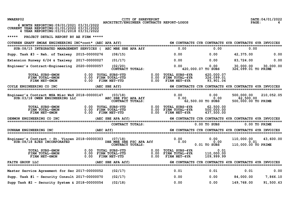NWAERP02 CITY OF SHREVEPORT<br>201/2022 ARCHITECT/ENGINEER CONTRACTS REPORT-LOGOS PAGE: 4

|  | 6 MONTH REPORTING: 09/01/2021 03/31/2022      |  |
|--|-----------------------------------------------|--|
|  | CURRENT YEAR REPORTING: 01/01/2022 03/31/2022 |  |
|  | 4 YEAR REPORTING: 03/01/2018 03/31/2022       |  |

| COTHREN GRAFF SMOAK ENGINEERING INC*cont* (AEC APA Aff)                           |                                                                                                                                                                          |                                          |              |                                                                       |                                                         | 6M CONTRACTS CYR CONTRACTS 4YR CONTRACTS 4YR INVOICES |                      |
|-----------------------------------------------------------------------------------|--------------------------------------------------------------------------------------------------------------------------------------------------------------------------|------------------------------------------|--------------|-----------------------------------------------------------------------|---------------------------------------------------------|-------------------------------------------------------|----------------------|
| SUB: 08/15 INTEGRATED MANAGEMENT SERVICES ( AEC MBE SBE APA Aff                   |                                                                                                                                                                          |                                          |              | 0.00                                                                  | 0.00                                                    | 0.00                                                  |                      |
| Supp. Task #3 - Reh. of Taxiway 2015-00000276                                     | (08/15)                                                                                                                                                                  |                                          |              | 0.00                                                                  | 0.00                                                    | 42,375.00                                             | 0.00                 |
| Extension Runway 6/24 & Taxiway 2017-00000027                                     | (01/17)                                                                                                                                                                  |                                          |              | 0.00                                                                  | 0.00                                                    | 83,724.00                                             | 0.00                 |
| Engineer's Contract-Engineering 2020-00000057                                     | (02/20)<br>CONTRACT TOTALS:                                                                                                                                              |                                          |              | 0.00                                                                  | 0.00<br>420,000.07 TO SUBS                              | 326,099.01 TO PRIME                                   | 30,000.00 30,000.00  |
| TOTAL SUBS-6MON<br>FIRM TOTAL-6MON<br>FIRM NET-6MON                               | 0.00 TOTAL SUBS-YTD<br>0.00 FIRM TOTAL-YTD<br>0.00 FIRM NET-YTD                                                                                                          |                                          | 0.00<br>0.00 | TOTAL SUBS-4YR<br>0.00 FIRM TOTAL-4YR<br>FIRM NET-4YR                 | 420,000.07<br>326,099.01<br>93,901.06                   |                                                       |                      |
| COYLE ENGINEERING CO INC<br>===================================                   | (AEC SBE Aff)                                                                                                                                                            |                                          |              |                                                                       |                                                         | 6M CONTRACTS CYR CONTRACTS 4YR CONTRACTS 4YR INVOICES |                      |
| Engineer's Contract MSA Misc W&S 2018-00000147<br>SUB: 03/18 OWEN ENGINEERING LLC | 018-00000147 (03/18) 018-00000147 (03/18)<br>AEC SBE FSC APA Aff 0.00<br>62 62                                                                                           |                                          |              |                                                                       | 0.00<br>5 0.00<br>0.00 0.00<br>62,500.00 00 0.00,62,500 | 500,000.00<br>62,500.00<br>500,000.00 TO PRIME        | 210,052.05           |
| TOTAL SUBS-6MON<br>FIRM TOTAL-6MON<br><b>FIRM NET-6MON</b>                        | 0.00 TOTAL SUBS-YTD                 0.00 TOTAL SUBS-4YR<br>0.00 FIRM TOTAL-YTD                0.00 FIRM TOTAL-4YR<br>0.00 FIRM NET-YTD                 0.00 FIRM NET-4YR |                                          |              |                                                                       | 62,500.00<br>500,000.00<br>437,500.00                   |                                                       |                      |
| DENMON ENGINEERING CO INC                                                         | (AEC SBE APA Aff) 6M CONTRACTS CYR CONTRACTS 4YR CONTRACTS 4YR INVOICES                                                                                                  |                                          |              |                                                                       |                                                         |                                                       |                      |
|                                                                                   |                                                                                                                                                                          | CONTRACT TOTALS:                         |              |                                                                       | $0.00$ TO SUBS                                          |                                                       | $0.00$ TO PRIME      |
| DUNHAM ENGINEERING INC                                                            | (AEC Aff)                                                                                                                                                                |                                          |              | 6M CONTRACTS CYR CONTRACTS 4YR CONTRACTS 4YR INVOICES                 |                                                         |                                                       |                      |
| Engineer's Contract - St. Vincen $2018-00000303$<br>SUB: 08/18 EJES INCORPORATED  | (07/18)                                                                                                                                                                  | DBE MBE SBE FSC APA Aff CONTRACT TOTALS: |              | 0.00                                                                  | 0.00<br>$0.00$<br>0.01 TO SUBS 110                      | 0.01<br>110,000.00 TO PRIME                           | 110,000.00 43,600.00 |
| TOTAL SUBS-6MON<br>FIRM TOTAL-6MON<br>FIRM NET-6MON                               | 0.00 TOTAL SUBS-YTD<br>0.00 FIRM TOTAL-YTD<br>0.00 FIRM NET-YTD                                                                                                          |                                          |              | $0.00$ TOTAL SUBS-4YR<br>$0.00$ FIRM TOTAL-4YR<br>$0.00$ FIRM NET-4YR | 0.01<br>110,000.00<br>109,999.99                        |                                                       |                      |
| <b>FAITH GROUP LLC</b>                                                            | (AEC SBE APA Aff) 6M CONTRACTS CYR CONTRACTS 4YR CONTRACTS 4YR INVOICES                                                                                                  |                                          |              |                                                                       |                                                         |                                                       |                      |
| Master Service Agreement for Sec 2017-00000052                                    | (02/17)                                                                                                                                                                  |                                          |              | 0.01                                                                  | 0.01                                                    | 0.01                                                  | 0.00                 |
| Supp. Task #1 - Security Consult 2017-00000070                                    | (02/17)                                                                                                                                                                  |                                          |              | 0.00                                                                  | 0.00                                                    | 84,000.00                                             | 7,866.10             |
| Supp Task #2 - Security System & 2018-00000054                                    | (02/18)                                                                                                                                                                  |                                          |              | 0.00                                                                  | 0.00                                                    | 149,768.00                                            | 91,500.63            |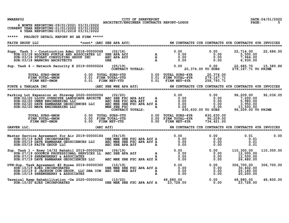| NWAERP02                                                                                                                                                                                                                                                                                         | CITY OF SHREVEPORT                        |                                                                                | DATE: 04/01/2022       |
|--------------------------------------------------------------------------------------------------------------------------------------------------------------------------------------------------------------------------------------------------------------------------------------------------|-------------------------------------------|--------------------------------------------------------------------------------|------------------------|
| 6 MONTH REPORTING: 09/01/2021 03/31/2022<br>CURRENT YEAR REPORTING: 01/01/2022 03/31/2022<br>4 YEAR REPORTING: 03/01/2018 03/31/2022                                                                                                                                                             | ARCHITECT/ENGINEER CONTRACTS REPORT-LOGOS |                                                                                | PAGE:<br>.5.           |
| *****<br>PROJECT DETAIL REPORT BY AE FIRM *****                                                                                                                                                                                                                                                  |                                           |                                                                                |                        |
| <b>FAITH GROUP LLC</b>                                                                                                                                                                                                                                                                           |                                           | *cont* (AEC SBE APA Aff) 6M CONTRACTS CYR CONTRACTS 4YR CONTRACTS 4YR INVOICES |                        |
| 910) Supp. Task 3 – Construction Admi 2018-00000068 (02/18)<br>SUB:03/18 BLOCKED PURTLE AND ASSOCIATES LC SBE APA Aff<br>SUB:03/18 STUART CONSULTING GROUP INC AREC APA Aff A 0.00 0.00 0.00 0.00 7,944.00<br>SUB:03/18 MANNING ARCH                                                             |                                           |                                                                                | 22,714.00<br>22,686.50 |
| Sup. Task 4 - Network Security E 2019-00000224 (05/19) (05/19) 0.00 0.00 0.00 22,685.70 15,380.86<br>CONTRACT TOTALS: 20,374.00 TO SUBS 279,167.71 TO PRIME                                                                                                                                      |                                           |                                                                                |                        |
|                                                                                                                                                                                                                                                                                                  |                                           |                                                                                |                        |
| FORTE & TABLADA INC (AEC SBE WBE APA Aff) 6M CONTRACTS CYR CONTRACTS 4YR CONTRACTS 4YR INVOICES                                                                                                                                                                                                  |                                           |                                                                                |                        |
| Parking Lot Expansion at Shrevep 2020-00000056 (02/20) 0.00 0.00 0.00 96,209.00 92,03<br>SUB:02/20 LLOYD OVERDYKE LANDSCAPE ARCHITE AEC SBE FSC APA Aff A 0.00 0.00 0.00 7,200.00<br>SUB:02/20 OWEN ENGINEERING LLC AEC MBE SBE F                                                                |                                           |                                                                                | 92,036.05              |
| TOTAL SUBS-6MON 0.00 TOTAL SUBS-YTD 0.00 TOTAL SUBS-4YR 830,630.00<br>FIRM TOTAL-6MON 0.00 FIRM TOTAL-YTD 0.00 FIRM TOTAL-4YR 96,209.00<br>FIRM NET-6MON 0.00 FIRM NET-YTD 0.00 FIRM NET-4YR 734,421.00<br>C, (AEC Aff) _______________                                                          |                                           |                                                                                |                        |
| GARVER LLC,                                                                                                                                                                                                                                                                                      |                                           | 6M CONTRACTS CYR CONTRACTS 4YR CONTRACTS 4YR INVOICES                          |                        |
| Master Service Agreement for Air 2019-00000184 (04/19) 0.00 0.00 0.00 0.00 0.00 0.01<br>SUB:05/19 EJES INCORPORATED DBE MBE SBE FSC APA Aff A 0.00 0.00 0.00 0.01<br>SUB:05/19 DAVE RAMBARAN GEOSCIENCES LLC AEC MBE SBE FSC APA Aff                                                             |                                           |                                                                                | 0.00                   |
| 9. Task 1 – Rnwy 14/32 Rehabil 2019–00000284 (06/19)<br>SUB:07/19 GOODWIN PROFESSIONAL SERVICES LL AEC SBE APA Aff a consumed by 0.00 0.00 0.00 12,000.00<br>SUB:07/19 SHREWSBERRY & ASSOCIATES a consumed by 0.00 0.00 0.00 12,50<br>Sup. Task 1 - Rnwy 14/32 Rehabil 2019-00000284             |                                           |                                                                                | 110,300.00             |
| V-Sup. Task Agreement #2 Runwa 2019-00000360 (10/19)<br>SUB:10/19 EJES INCORPORATED<br>SUB:10/19 S JACKSON CCM GROUP, LLC DBA ICM AEC SBE WBE Aff A 0.00 00 0.00 0.00 30,402.00<br>SUB:10/19 SHREWSBERRY & ASSOCIATES<br>SUB:10/19 SHR<br>DTN-Sup. Task Agreement #2 Runwa 2019-00000360 (10/19) |                                           |                                                                                | 306,700.00             |
| Terminal Ramp Rehabilitation -De 2020-00000342 (10/20)<br>SUB:10/20 EJES INCORPORATED DBE MBE SBE FSC APA Aff A 23,728.00 0 0.00 23,728.00                                                                                                                                                       |                                           |                                                                                | 48,800.00              |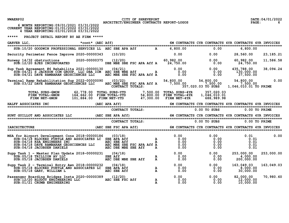## NWAERP02 CITY OF SHREVEPORT<br>201/2022 architect/engineer contracts report-logos **ARCHITECT/ENGINEER** CONTRACTS REPORT-LOGOS

|  | 6 MONTH REPORTING: 09/01/2021 03/31/2022      |  |
|--|-----------------------------------------------|--|
|  | CURRENT YEAR REPORTING: 01/01/2022 03/31/2022 |  |
|  | 4 YEAR REPORTING: 03/01/2018 03/31/2022       |  |

| $\begin{tabular}{lcl} GARVER & LLC, & *cont* (AEC Aff) & & & \\ \hline \texttt{==} & *cont* & (AEC Aff) & & & \\ \hline \texttt{==} & \texttt{==} & \texttt{==} & \texttt{==} & \texttt{==} & \texttt{==} & \texttt{==} & \texttt{==} & \texttt{==} & \texttt{==} & \texttt{==} & \texttt{==} & \texttt{==} & \texttt{==} & \texttt{==} & \texttt{==} & \texttt{==} & \texttt{==} & \texttt{==} & \texttt{==} & \texttt{==} & \texttt{==} & \texttt{==} & \texttt{$ |                       |                                                                                                                                                                                                                             |                                                                                                                                                                                                                                                                               |             |
|---------------------------------------------------------------------------------------------------------------------------------------------------------------------------------------------------------------------------------------------------------------------------------------------------------------------------------------------------------------------------------------------------------------------------------------------------------------------|-----------------------|-----------------------------------------------------------------------------------------------------------------------------------------------------------------------------------------------------------------------------|-------------------------------------------------------------------------------------------------------------------------------------------------------------------------------------------------------------------------------------------------------------------------------|-------------|
| Security Perimeter Fence Improve 2020-00000343 (10/20)                                                                                                                                                                                                                                                                                                                                                                                                              |                       | $0.00$ $0.00$ $0.00$ $28,560.00$                                                                                                                                                                                            |                                                                                                                                                                                                                                                                               | 23, 185. 21 |
| Runway 14/32 obstructions<br>SUB:12/20 EJES INCORPORATED 10.00 DBE MBE SBE FSC APA Aff A 24,750.00 00 0.00 24,750.00                                                                                                                                                                                                                                                                                                                                                |                       |                                                                                                                                                                                                                             |                                                                                                                                                                                                                                                                               | 11,586.58   |
|                                                                                                                                                                                                                                                                                                                                                                                                                                                                     |                       |                                                                                                                                                                                                                             |                                                                                                                                                                                                                                                                               |             |
| Sup Task Agreement #6 Rehabilita 2021-00000130 (04/21) 0.00 0.00 0.00 435,788.00 38,094.24<br>SUB:04/21 S JACKSON CCM GROUP, LLC DBA ICM AEC SBE WBE Aff 0.00 0.00 130,000.00<br>SUB:04/21 DAVE RAMBARAN GEOSCIENCES LLC AEC MBE S                                                                                                                                                                                                                                  |                       |                                                                                                                                                                                                                             |                                                                                                                                                                                                                                                                               |             |
| TOTAL SUBS-6MON 62,778.00 TOTAL SUBS-YTD 7,500.00 TOTAL SUBS-4YR 357,020.03<br>FIRM TOTAL-6MON 164,662.00 FIRM TOTAL-YTD 54,800.00 FIRM TOTAL-4YR 1,046,010.01<br>FIRM NET-6MON 101,884.00 FIRM NET-YTD 47,300.00 FIRM NET-4YR 688,9                                                                                                                                                                                                                                |                       |                                                                                                                                                                                                                             |                                                                                                                                                                                                                                                                               |             |
| ALFF ASSOCIATES INC (AEC APA Aff) 6M CONTRACTS CYR CONTRACTS 4YR CONTRACTS 4YR INVOICES (AEC APA Aff) 6M CONTRACTS CYR CONTRACTS 4YR INVOICES<br>HALFF ASSOCIATES INC                                                                                                                                                                                                                                                                                               |                       |                                                                                                                                                                                                                             |                                                                                                                                                                                                                                                                               |             |
|                                                                                                                                                                                                                                                                                                                                                                                                                                                                     | ------------- TOTALS: |                                                                                                                                                                                                                             | 0.00 TO SUBS 0.00 TO PRIME                                                                                                                                                                                                                                                    |             |
|                                                                                                                                                                                                                                                                                                                                                                                                                                                                     |                       |                                                                                                                                                                                                                             |                                                                                                                                                                                                                                                                               |             |
|                                                                                                                                                                                                                                                                                                                                                                                                                                                                     | CONTRACT TOTALS:      |                                                                                                                                                                                                                             | 0.00 TO SUBS 0.00 TO PRIME                                                                                                                                                                                                                                                    |             |
| IARCHITECTURE<br>IARCHITECTURE (AEC SBE FSC APA Aff) 6M CONTRACTS CYR CONTRACTS 4YR CONTRACTS 4YR INVOICES<br><b>IARCHITECTURE</b>                                                                                                                                                                                                                                                                                                                                  |                       |                                                                                                                                                                                                                             |                                                                                                                                                                                                                                                                               |             |
| $\begin{array}{cccccccc} \texttt{MSA} & \texttt{for} & \texttt{A} & \texttt{for} & \texttt{A} & \texttt{0.00} & \texttt{0.01} & \texttt{0.01} & \texttt{0.01} & \texttt{0.01} & \texttt{0.01} & \texttt{0.02} & \texttt{0.03} & \texttt{0.04} & \texttt{0.05} & \texttt{0.06} & \texttt{0.01} & \texttt{0.06} & \texttt{0.01} & \texttt{0.01} & \texttt{0.02} & \texttt{0.01} & \texttt{0.$                                                                         |                       |                                                                                                                                                                                                                             |                                                                                                                                                                                                                                                                               | 0.00        |
| 90 Task 1 - Master Plan Update 2018-00000231 (04/18)<br>SUB:05/18 TRILLION AV LLC SBE Aff A 0.00 0.00 0.00 4,000.00<br>SUB:05/18 JACOBSEN DANIELS AEC DBE MBE SBE Aff A 0.00 0.00 0.00 200,000.00<br>Supp Task 1 - Master Plan Update 2018-00000231 (04/18)                                                                                                                                                                                                         |                       |                                                                                                                                                                                                                             |                                                                                                                                                                                                                                                                               | 253,000.00  |
| Supp Task 2 - Terminal Entry Awn 2018-00000232 (04/18)<br>SUB:05/18 BLOCKED PURTLE AND ASSOCIATES LC SBE APA Aff<br>SUB: 05/18 GARY, WILLIAM L                                                                                                                                                                                                                                                                                                                      | AEC SBE Aff           | $\begin{array}{cccccccc} \texttt{A} & & & 0.00 & & & & 0.00 & & & 163,049.03 & & 163,049.03 \\ \texttt{A} & & & 0.00 & & & & 0.00 & & & 8,000.00 & & \\ \texttt{A} & & & 0.00 & & & & 0.00 & & & 30,000.00 & & \end{array}$ |                                                                                                                                                                                                                                                                               |             |
| Passenger Boarding Bridges Insta 2020-00000389 (12/20)<br>SUB:12/20 BLUDOT ENGINEERING LLC AEC SBE FSC Aff<br>SUB: 01/21 CRUMB ENGINEERING                                                                                                                                                                                                                                                                                                                          | $\Delta f$ $\Delta$   | ${\bf A}$<br>$\mathbf{A}$                                                                                                                                                                                                   | $\begin{array}{cccc} 0.00 & 0.00 & 0.00 & 0.00 & 0.00 & 0.00 & 0.00 & 0.00 & 0.00 & 0.00 & 0.00 & 0.00 & 0.00 & 0.00 & 0.00 & 0.00 & 0.00 & 0.00 & 0.00 & 0.00 & 0.00 & 0.00 & 0.00 & 0.00 & 0.00 & 0.00 & 0.00 & 0.00 & 0.00 & 0.00 & 0.00 & 0.00 & 0.00 & 0.00 & 0.00 & 0.$ | 70,980.60   |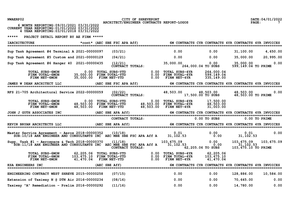**NWAERP02 CITY OF SHREVEPORT DATE:04/01/2022 ARCHITECT/ENGINEER CONTRACTS REPORT-LOGOS PAGE: 7**

| 6 MONTH REPORTING: 09/01/2021 03/31/2022<br>CURRENT YEAR REPORTING:01/01/2022 03/31/2022<br>4 YEAR REPORTING: 03/01/2018 03/31/2022 |                   |                                                                                     |              |                                                                           |                                        |                                                       |                 |
|-------------------------------------------------------------------------------------------------------------------------------------|-------------------|-------------------------------------------------------------------------------------|--------------|---------------------------------------------------------------------------|----------------------------------------|-------------------------------------------------------|-----------------|
| *****<br>PROJECT DETAIL REPORT BY AE FIRM *****                                                                                     |                   |                                                                                     |              |                                                                           |                                        |                                                       |                 |
| <b>IARCHITECTURE</b>                                                                                                                |                   | *cont* (AEC SBE FSC APA Aff)                                                        |              |                                                                           |                                        | 6M CONTRACTS CYR CONTRACTS 4YR CONTRACTS 4YR INVOICES |                 |
| Sup Task Agreement #4 Terminal A 2021-00000097                                                                                      |                   | (03/21)                                                                             |              | 0.00                                                                      | 0.00                                   | 31, 100.00                                            | 4,650.00        |
| Sup Task Agreement #5 Custom and 2021-00000129                                                                                      |                   | (04/21)                                                                             |              | 0.00                                                                      | 0.00                                   | 35,000.00                                             | 20,995.00       |
| Sup Task Agreement #6 Hanger 40 2021-00000435                                                                                       |                   | (12/21)<br>CONTRACT TOTALS:                                                         |              | 35,000.00                                                                 | 0.00<br>264,000.04 TO SUBS             | 35,000.00<br>599,149.04 TO PRIME                      | 0.00            |
| TOTAL SUBS-6MON<br>FIRM TOTAL-6MON<br>FIRM NET-6MON                                                                                 | 0.00<br>35,000.00 | TOTAL SUBS-YTD<br>35,000.00 FIRM TOTAL-YTD<br>FIRM NET-YTD                          | 0.00<br>0.00 | <b>TOTAL SUBS-4YR</b><br>0.00 FIRM TOTAL-4YR<br><b>FIRM NET-4YR</b>       | 264,000.04<br>599,149.04<br>335,149.00 |                                                       |                 |
| <b>JAMES W DEAN ARCHITECT LLC</b><br>=================================                                                              |                   | (AEC SBE FSC APA Aff)                                                               |              |                                                                           |                                        | 6M CONTRACTS CYR CONTRACTS 4YR CONTRACTS 4YR INVOICES |                 |
| RFS 21-705 Architectural Service 2022-00000059                                                                                      |                   | (02/22)<br>CONTRACT TOTALS:                                                         |              | 48,503.00                                                                 | 48,503.00<br>17,500.00 TO SUBS         | 48,503.00<br>48,503.00 TO PRIME                       | 0.00            |
| TOTAL SUBS-6MON<br>FIRM TOTAL-6MON<br>FIRM NET-6MON                                                                                 | 0.00<br>48,503.00 | TOTAL SUBS-YTD<br>48,503.00 FIRM TOTAL-YTD<br>FIRM NET-YTD                          |              | 0.00 TOTAL SUBS-4YR<br>48,503.00 FIRM TOTAL-4YR<br>48,503.00 FIRM NET-4YR | 17,500.00<br>48,503.00<br>31,003.00    |                                                       |                 |
| JOHN J GUTH ASSOCIATES INC                                                                                                          |                   | (AEC SBE APA Aff)                                                                   |              |                                                                           |                                        | 6M CONTRACTS CYR CONTRACTS 4YR CONTRACTS 4YR INVOICES |                 |
|                                                                                                                                     |                   | CONTRACT TOTALS:                                                                    |              |                                                                           | $0.00$ TO SUBS                         |                                                       | $0.00$ TO PRIME |
| KEVIN BRYAN ARCHITECTS LLC                                                                                                          |                   | (AEC SBE APA Aff)                                                                   |              |                                                                           |                                        | 6M CONTRACTS CYR CONTRACTS 4YR CONTRACTS 4YR INVOICES |                 |
| <b>Master Service Agreement - Aeros 2018-00000352</b><br>SUB:10/18 ARK ENGINEER AND CONSULTANTS INC AEC MBE SBE FSC APA Aff A       |                   | (10/18)                                                                             |              | 0.01<br>31, 102.53                                                        | 0.00<br>0.00                           | 0.01<br>31, 102.53                                    | 0.00            |
| Supp. Task #1 - Aerospace & Tech 2018-00000370<br>SUB:11/18 ARK ENGINEER AND CONSULTANTS INC AEC MBE SEE FSC APA Aff A              |                   | (11/18)<br>CONTRACT TOTALS:                                                         |              | 103,675.09<br>31, 102.53                                                  | 0.00<br>0.00<br>62,205.06 TO SUBS      | 103,675.09<br>31, 102.53<br>103,675.10 TO PRIME       | 103,675.09      |
| TOTAL SUBS-6MON<br>FIRM TOTAL-6MON<br>FIRM NET-6MON                                                                                 |                   | 62, 205.06 TOTAL SUBS-YTD<br>103, 675.10 FIRM TOTAL-YTD<br>$41,470.04$ FIRM NET-YTD |              | 0.00 TOTAL SUBS-4YR<br>0.00 FIRM TOTAL-4YR<br>$0.00$ FIRM NET-4YR         | 62,205.06<br>103,675.10<br>41,470.04   |                                                       |                 |
| <b>KSA ENGINEERS INC</b>                                                                                                            |                   | (AEC SBE Aff)                                                                       |              |                                                                           |                                        | 6M CONTRACTS CYR CONTRACTS 4YR CONTRACTS 4YR INVOICES |                 |
| <b>ENGINEERING CONTRACT WEST SHREVE 2015-00000258</b>                                                                               |                   | (07/15)                                                                             |              | 0.00                                                                      | 0.00                                   | 128,886.00                                            | 10,584.00       |
| Extension of Taxiway N @ DTN Air 2016-00000234                                                                                      |                   | (08/16)                                                                             |              | 0.00                                                                      | 0.00                                   | 70,645.00                                             | 0.00            |
|                                                                                                                                     |                   |                                                                                     |              |                                                                           |                                        |                                                       |                 |

**Taxiway "A" Remediation - Prelim 2016-00000292 (11/16) 0.00 0.00 14,780.00 0.00**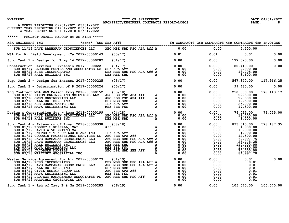## NWAERP02 CITY OF SHREVEPORT<br>B C CONTRACTS ARCHITECT/ENGINEER CONTRACTS REPORT-LOGOS PAGE: 8<br>PAGE: 8

|  | 6 MONTH REPORTING: 09/01/2021 03/31/2022     |  |  |
|--|----------------------------------------------|--|--|
|  | CURRENT YEAR REPORTING:01/01/2022 03/31/2022 |  |  |
|  | 4 YEAR REPORTING: 03/01/2018 03/31/2022      |  |  |

| KSA ENGINEERS INC                                                                                                                                                                                                                | *cont* (AEC SBE Aff)             6M CONTRACTS CYR CONTRACTS 4YR CONTRACTS 4YR INVOICES                                                                                                              |  |                                         |             |
|----------------------------------------------------------------------------------------------------------------------------------------------------------------------------------------------------------------------------------|-----------------------------------------------------------------------------------------------------------------------------------------------------------------------------------------------------|--|-----------------------------------------|-------------|
| SUB:11/16 DAVE RAMBARAN GEOSCIENCES LLC AEC MBE SBE FSC APA Aff A 0.00                                                                                                                                                           |                                                                                                                                                                                                     |  | 0.00<br>5,500.00                        |             |
| MSA for Airfield Development (Ca 2017-00000143 (03/17)                                                                                                                                                                           | $0.01$ $0.01$ $0.01$ $0.01$                                                                                                                                                                         |  |                                         | 0.00        |
| Sup. Task 1 - Design for Rnwy 14 2017-00000207 (04/17)                                                                                                                                                                           | $0.00$ $0.00$ $177,520.00$                                                                                                                                                                          |  |                                         | 0.00        |
| Construction Services - Extensio 2017-00000221 $(04/17)$<br>SUB: 05/17 BLOCKED PURTLE AND ASSOCIATES LC SBE APA Aff<br>SUB: 05/17 EJES INCORPORATED<br>SUB: 05/17 HALL BUILDERS INC                                              | io 2017-00000221 (04/17)<br>D ASSOCIATES LC SBE APA Aff A $0.00$ 0.00 0.00 0.00 9,900.00<br>DBE MBE SBE FSC APA Aff A 0.00 0.00 0.00 13,705.00<br>DBE MBE SBE FSC APA Aff A 0.00 0.00 0.00 3,600.00 |  |                                         | 0.00        |
| Sup. Task 2 - Design for Extensi 2017-00000225 (05/17) 0.00 0.00 0.00                                                                                                                                                            |                                                                                                                                                                                                     |  | 567, 370.00 117, 916.25                 |             |
| Sup. Task 3 - Determination of P 2017-00000226 (05/17) (0.00 0.00 0.00 0.00 99,430.00                                                                                                                                            |                                                                                                                                                                                                     |  |                                         | 0.00        |
|                                                                                                                                                                                                                                  |                                                                                                                                                                                                     |  |                                         | 178,443.17  |
|                                                                                                                                                                                                                                  |                                                                                                                                                                                                     |  |                                         | 76,025.00   |
| Sup. Task 3 - Determination of P 2017-00000126 (05/17)<br>Eng Contested MSA NEG Design Room (05/17) 0.000 0.000 99,430.00<br>Super Super MSA NEG Design Room (05/17) 0.000 0.000 0.000 0.000 0.000 0.000 0.000 0.000 0.000 0.000 |                                                                                                                                                                                                     |  |                                         | 578, 187.35 |
|                                                                                                                                                                                                                                  |                                                                                                                                                                                                     |  |                                         | 0.00        |
| Sup. Task 1 - Reh of Txwy B & Ge 2019-00000283 (06/19)                                                                                                                                                                           |                                                                                                                                                                                                     |  | $0.00$ $0.00$ $105,570.00$ $105,570.00$ |             |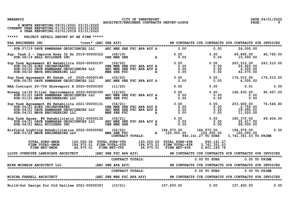## NWAERP02 CITY OF SHREVEPORT<br>2 **CALCHITECT/ENGINEER CONTRACTS REPORT-LOGOS** PAGE: 9 PAGE: 9

|  | 6 MONTH REPORTING: 09/01/2021 03/31/2022      |  |
|--|-----------------------------------------------|--|
|  | CURRENT YEAR REPORTING: 01/01/2022 03/31/2022 |  |
|  | 4 YEAR REPORTING: 03/01/2018 03/31/2022       |  |

| SUB:07/19 DAVE RAMBARAN GEOSCIENCES LLC AEC MBE SBE FSC APA Aff A                                                                                                                                                                                                                 |         |         |                  | 0.00                                                                                                                                                                                                                           | 0.00                                                                                                                                                  | 26,000.00                                                        |                 |
|-----------------------------------------------------------------------------------------------------------------------------------------------------------------------------------------------------------------------------------------------------------------------------------|---------|---------|------------------|--------------------------------------------------------------------------------------------------------------------------------------------------------------------------------------------------------------------------------|-------------------------------------------------------------------------------------------------------------------------------------------------------|------------------------------------------------------------------|-----------------|
| Sup. Task 2 - Improve Rnwy 32 Rn 2019-00000322 (08/19)<br>SUB:08/19 HALL BUILDERS INC DBE MBE SBE                                                                                                                                                                                 |         |         |                  | $A$ and $0.00$ and $0.00$ and $0.00$ and $0.00$ and $0.00$ and $0.00$ and $0.00$ and $0.00$ and $0.00$ and $0.00$ and $0.00$ and $0.00$ and $0.00$ and $0.00$ and $0.00$ and $0.00$ and $0.00$ and $0.00$ and $0.00$ and $0.0$ |                                                                                                                                                       |                                                                  |                 |
| Sup Task Agreement #3 Rehabilita 2020-00000197 (06/20) 0.00 0.00 0.00 0.00<br>SUB:06/20 EJES INCORPORATED DBE MBE SBE FSC APA Aff A 0.00 0.00<br>SUB:06/20 DAVE RAMBARAN GEOSCIENCES LLC AEC MBE SBE FSC APA Aff A 0.00 0.00<br>SUB:                                              |         |         |                  |                                                                                                                                                                                                                                |                                                                                                                                                       | 263,510.00<br>26,625.00<br>$\frac{1}{4}$ , $\frac{000}{000}$ .00 | 263,510.00      |
| Sup Task Agreement #5 Rehab. of 2020-00000198 (06/20) 06/20 0.00<br>SUB:06/20 DAVE RAMBARAN GEOSCIENCES LLC AEC MBE SBE FSC APA Aff A                                                                                                                                             |         |         |                  |                                                                                                                                                                                                                                | 0.00<br>0.00                                                                                                                                          | 176,010.00<br>6,000.00                                           | 176,010.00      |
| MSA Contract 20-704 Shreveport R 2020-00000355                                                                                                                                                                                                                                    | (11/20) |         |                  | 0.00                                                                                                                                                                                                                           | 0.00                                                                                                                                                  | 0.01                                                             | 0.00            |
| Runway 14/32 Fillet Improvements 2020-00000395<br>SUB: 01/21 DAVE RAMBARAN GEOSCIENCES LLC<br>SUB: 01/21 MAVA ENGINEERING LLC                                                                                                                                                     |         | (12/20) |                  | 95 (12/20) 0.00<br>AEC MBE SBE FSC APA Aff A 0.00<br>MBE SBE FSC APA Aff A 0.00                                                                                                                                                | $\begin{array}{cc} 0.00 & 16 \ 0.00 & 0.0 \end{array}$<br>$\begin{array}{cccc} 0.00 & & & & 0.00 \ 0.00 & & & & 0.00 \ 0.00 & & & & 0.00 \end{array}$ | 168,835.00<br>0.00<br>0.00                                       | 90,457.00       |
| Sup Task Agreement #4 Rehabilita $2021-00000131$ (04/21)<br>SUB: 04/21 EJES INCORPORATED<br>SUB: 04/21 DAVE RAMBARAN GEOSCIENCES LLC<br>SUB: 04/21 MAVA ENGINEERING LLC                                                                                                           |         |         |                  | 131 (04/21) 0.00 0.00<br>DBE MBE SBE FSC APA Aff A 0.00 0.00<br>AEC MBE SBE FSC APA Aff A 0.00 0.00<br>MBE SBE FSC APA Aff A 0.00 0.00                                                                                         |                                                                                                                                                       | 253,600.00<br>2,750.00<br>39,995.00<br>11,020.00                 | 74,546.80       |
| 9 Task Agree. #6 Rehabilitatio 2021-00000132 (04/21) 0.00 0.00 0.00 0.00<br>SUB:04/21 DAVE RAMBARAN GEOSCIENCES LLC AEC MBE SBE FSC APA Aff A 0.00 0.00 0.00<br>SUB:04/21 HALL BUILDERS INC DBE MBE SBE ARE A 0.00 0.00<br>Sup Task Agree. #6 Rehabilitatio 2021-00000132 (04/21) |         |         |                  |                                                                                                                                                                                                                                |                                                                                                                                                       | 180,375.00<br>25,417.50<br>68,000.00                             | 69,404.00       |
| Airfield Lighting Rehabilitation 2022-00000082 (02/22) 184,975.00 184,975.00 184,975.00<br>SUB:03/22 MAVA ENGINEERING LLC MEE SBE FSC 120,000.00 120,000.00 120,000.00 120,000.00<br>CONTRACT TOTALS: 940,161.27 TO SUBS 3.741.351.0                                              |         |         |                  |                                                                                                                                                                                                                                |                                                                                                                                                       | 3,741,351.03 TO PRIME                                            | 0.00            |
| TOTAL SUBS-6MON 120,000.00 TOTAL SUBS-YTD 120,000.00 TOTAL SUBS-4YR 940,161.27<br>FIRM TOTAL-6MON 184,975.01 FIRM TOTAL-YTD 184,975.01 FIRM TOTAL-4YR 3,741,351.03<br>FIRM NET-6MON                                                                                               |         |         |                  | $64,975.01$ FIRM NET-YTD $64,975.01$ FIRM NET-4YR                                                                                                                                                                              | 2,801,189.76                                                                                                                                          |                                                                  |                 |
| LLOYD OVERDYKE LANDSCAPE ARCHITECT (AEC SBE FSC APA Aff) 6M CONTRACTS CYR CONTRACTS 4YR CONTRACTS 4YR INVOICES                                                                                                                                                                    |         |         |                  |                                                                                                                                                                                                                                |                                                                                                                                                       |                                                                  |                 |
|                                                                                                                                                                                                                                                                                   |         |         | CONTRACT TOTALS: |                                                                                                                                                                                                                                | $0.00$ TO SUBS                                                                                                                                        |                                                                  | $0.00$ TO PRIME |
|                                                                                                                                                                                                                                                                                   |         |         |                  |                                                                                                                                                                                                                                |                                                                                                                                                       |                                                                  |                 |
|                                                                                                                                                                                                                                                                                   |         |         |                  | CONTRACT TOTALS:                                                                                                                                                                                                               | $0.00$ TO SUBS                                                                                                                                        |                                                                  | $0.00$ TO PRIME |
| MISCHA FARRELL ARCHITECT (AEC SBE WEE FSC APA Aff) 6M CONTRACTS CYR CONTRACTS 4YR CONTRACTS 4YR INVOICES                                                                                                                                                                          |         |         |                  |                                                                                                                                                                                                                                |                                                                                                                                                       |                                                                  |                 |
| Build-Out Design for Old Galilee 2021-00000367 (10/21)                                                                                                                                                                                                                            |         |         |                  | 157, 400.00                                                                                                                                                                                                                    |                                                                                                                                                       | $0.00$ 157,400.00 0.00                                           |                 |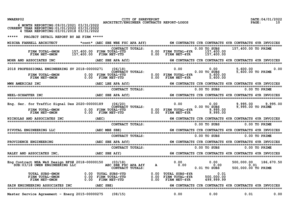| NWAERP02 |  |
|----------|--|
|----------|--|

CITY OF SHREVEPORT **CITY OF SHREVEPORT DATE:04/01/2022 DATE:04/01/2022 PAGE:** 10

| 6 MONTH REPORTING: 09/01/2021 03/31/2022<br>CURRENT YEAR REPORTING: 01/01/2022 03/31/2022<br>4 YEAR REPORTING:03/01/2018 03/31/2022                                                                                                 |           |  |                                                       |  |                     |            |
|-------------------------------------------------------------------------------------------------------------------------------------------------------------------------------------------------------------------------------------|-----------|--|-------------------------------------------------------|--|---------------------|------------|
| PROJECT DETAIL REPORT BY AE FIRM *****<br>*****                                                                                                                                                                                     |           |  |                                                       |  |                     |            |
| MISCHA FARRELL ARCHITECT *cont* (AEC SBE WBE FSC APA Aff) 6M CONTRACTS CYR CONTRACTS 4YR CONTRACTS 4YR INVOICES                                                                                                                     |           |  |                                                       |  |                     |            |
| FIRM TOTAL-6MON 157,400.00 FIRM TOTALS:<br>FIRM TOTAL-6MON 157,400.00 FIRM TOTAL-YTD 0.00 FIRM TOTAL-4YR 157,400.00 TO SUBS<br>FIRM NET-6MON 157,400.00 FIRM NET-YTD 0.00 FIRM NET-4YR 157,400.00                                   |           |  |                                                       |  |                     |            |
|                                                                                                                                                                                                                                     |           |  |                                                       |  |                     |            |
|                                                                                                                                                                                                                                     |           |  |                                                       |  |                     |            |
|                                                                                                                                                                                                                                     |           |  |                                                       |  |                     |            |
|                                                                                                                                                                                                                                     |           |  |                                                       |  |                     |            |
|                                                                                                                                                                                                                                     |           |  |                                                       |  |                     |            |
| Eng. Ser. for Traffic Signal Des 2020-00000189 (06/20) [1995.00 0.00 0.00 0.00 0.00 9,995.00 .00<br>CONTRACT TOTALS: 0.00 FIRM TOTAL-4YR 0.00 FIRM TOTAL 0.00 FIRM TOTAL-4YR 9,995.00 9,995.00 FIRM TOTAL-4YR 9,995.00 FIRM NET-4   |           |  |                                                       |  |                     |            |
|                                                                                                                                                                                                                                     |           |  |                                                       |  |                     |            |
|                                                                                                                                                                                                                                     |           |  |                                                       |  |                     |            |
|                                                                                                                                                                                                                                     |           |  |                                                       |  |                     |            |
|                                                                                                                                                                                                                                     |           |  |                                                       |  |                     |            |
|                                                                                                                                                                                                                                     |           |  |                                                       |  |                     |            |
|                                                                                                                                                                                                                                     |           |  |                                                       |  |                     |            |
|                                                                                                                                                                                                                                     |           |  |                                                       |  |                     |            |
| Eng Contract MSA W&S Design RFS# 2018-00000150 (03/18) 0.00 0.00 0.00 0.00 0.00 500,000.00<br>SUB:03/18 OWEN ENGINEERING LLC AEC SBE FSC APA Aff A 0.00 0.01 0.00 0.00 0.01<br>CONTRACT TOTALS: 0.00 0.01 TO SUBS 500,000.00 TO     |           |  |                                                       |  | 500,000.00 TO PRIME | 186,670.50 |
| TOTAL SUBS-6MON        0.00 TOTAL SUBS-YTD        0.00 TOTAL SUBS-4YR        0.01<br>FIRM TOTAL-6MON        0.00 FIRM TOTAL-YTD        0.00 FIRM TOTAL-4YR    500,000.00<br>FIRM NET-6MON        0.00 FIRM NET-YTD        0.00 FIRM |           |  |                                                       |  |                     |            |
| SAIN ENGINEERING ASSOCIATES INC                                                                                                                                                                                                     | (AEC SBE) |  | 6M CONTRACTS CYR CONTRACTS 4YR CONTRACTS 4YR INVOICES |  |                     |            |
|                                                                                                                                                                                                                                     |           |  |                                                       |  |                     |            |

Master Service Agreement - Energ 2015-00000275 (08/15) 0.00 0.00 0.00 0.01 0.00